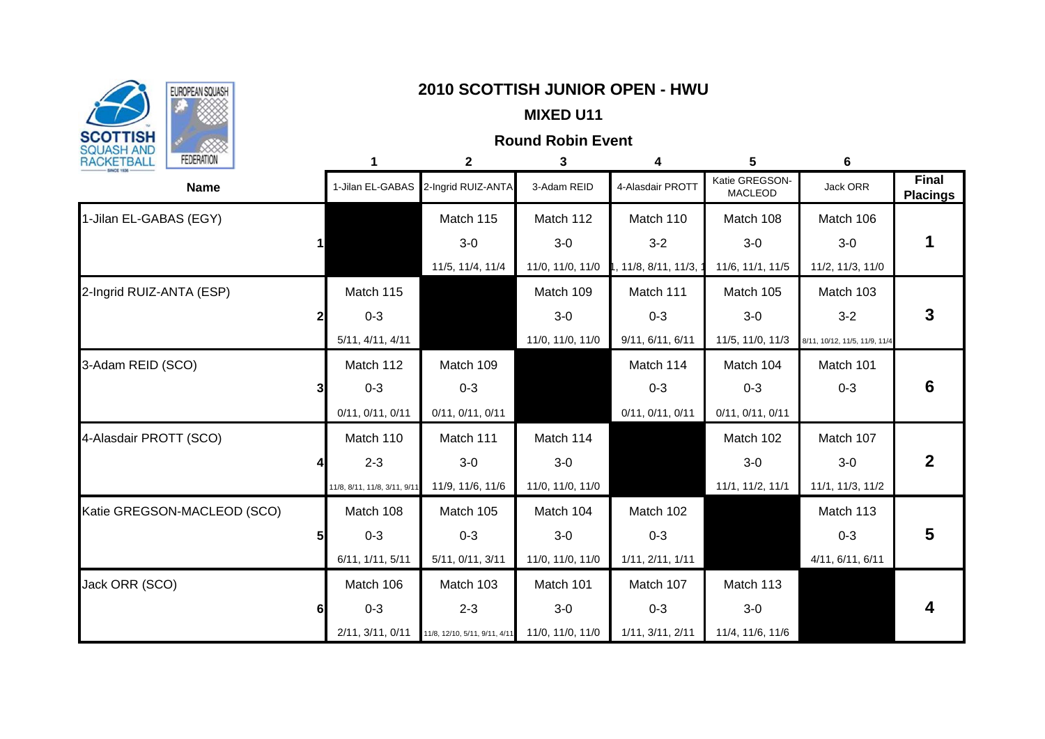

# **Represents SQUASH | Represents Account 2010 SCOTTISH JUNIOR OPEN - HWU**

## **MIXED U11**

## **Round Robin Event**

| RACKETBALL<br><b>FEDERATION</b> |                |                              | $\mathbf{2}$                  | 3                | 4                      | 5                                | 6                             |                                 |
|---------------------------------|----------------|------------------------------|-------------------------------|------------------|------------------------|----------------------------------|-------------------------------|---------------------------------|
| <b>Name</b>                     |                | 1-Jilan EL-GABAS             | 2-Ingrid RUIZ-ANTA            | 3-Adam REID      | 4-Alasdair PROTT       | Katie GREGSON-<br><b>MACLEOD</b> | Jack ORR                      | <b>Final</b><br><b>Placings</b> |
| 1-Jilan EL-GABAS (EGY)          |                |                              | Match 115                     | Match 112        | Match 110              | Match 108                        | Match 106                     |                                 |
|                                 | 1              |                              | $3-0$                         | $3-0$            | $3-2$                  | $3-0$                            | $3-0$                         |                                 |
|                                 |                |                              | 11/5, 11/4, 11/4              | 11/0, 11/0, 11/0 | 1, 11/8, 8/11, 11/3, 1 | 11/6, 11/1, 11/5                 | 11/2, 11/3, 11/0              |                                 |
| 2-Ingrid RUIZ-ANTA (ESP)        |                | Match 115                    |                               | Match 109        | Match 111              | Match 105                        | Match 103                     |                                 |
|                                 | 2              | $0 - 3$                      |                               | $3-0$            | $0 - 3$                | $3-0$                            | $3 - 2$                       | 3                               |
|                                 |                | 5/11, 4/11, 4/11             |                               | 11/0, 11/0, 11/0 | 9/11, 6/11, 6/11       | 11/5, 11/0, 11/3                 | 8/11, 10/12, 11/5, 11/9, 11/4 |                                 |
| 3-Adam REID (SCO)               |                | Match 112                    | Match 109                     |                  | Match 114              | Match 104                        | Match 101                     |                                 |
|                                 | 3              | $0 - 3$                      | $0 - 3$                       |                  | $0 - 3$                | $0 - 3$                          | $0 - 3$                       | 6                               |
|                                 |                | 0/11, 0/11, 0/11             | 0/11, 0/11, 0/11              |                  | 0/11, 0/11, 0/11       | 0/11, 0/11, 0/11                 |                               |                                 |
| 4-Alasdair PROTT (SCO)          |                | Match 110                    | Match 111                     | Match 114        |                        | Match 102                        | Match 107                     |                                 |
|                                 |                | $2 - 3$                      | $3-0$                         | $3-0$            |                        | $3-0$                            | $3-0$                         |                                 |
|                                 |                | 11/8, 8/11, 11/8, 3/11, 9/11 | 11/9, 11/6, 11/6              | 11/0, 11/0, 11/0 |                        | 11/1, 11/2, 11/1                 | 11/1, 11/3, 11/2              |                                 |
| Katie GREGSON-MACLEOD (SCO)     |                | Match 108                    | Match 105                     | Match 104        | Match 102              |                                  | Match 113                     |                                 |
|                                 | 5 <sub>l</sub> | $0 - 3$                      | $0 - 3$                       | $3-0$            | $0 - 3$                |                                  | $0 - 3$                       | 5                               |
|                                 |                | 6/11, 1/11, 5/11             | 5/11, 0/11, 3/11              | 11/0, 11/0, 11/0 | 1/11, 2/11, 1/11       |                                  | 4/11, 6/11, 6/11              |                                 |
| Jack ORR (SCO)                  |                | Match 106                    | Match 103                     | Match 101        | Match 107              | Match 113                        |                               |                                 |
|                                 | 6              | $0 - 3$                      | $2 - 3$                       | $3-0$            | $0 - 3$                | $3-0$                            |                               |                                 |
|                                 |                | 2/11, 3/11, 0/11             | 11/8, 12/10, 5/11, 9/11, 4/11 | 11/0, 11/0, 11/0 | 1/11, 3/11, 2/11       | 11/4, 11/6, 11/6                 |                               |                                 |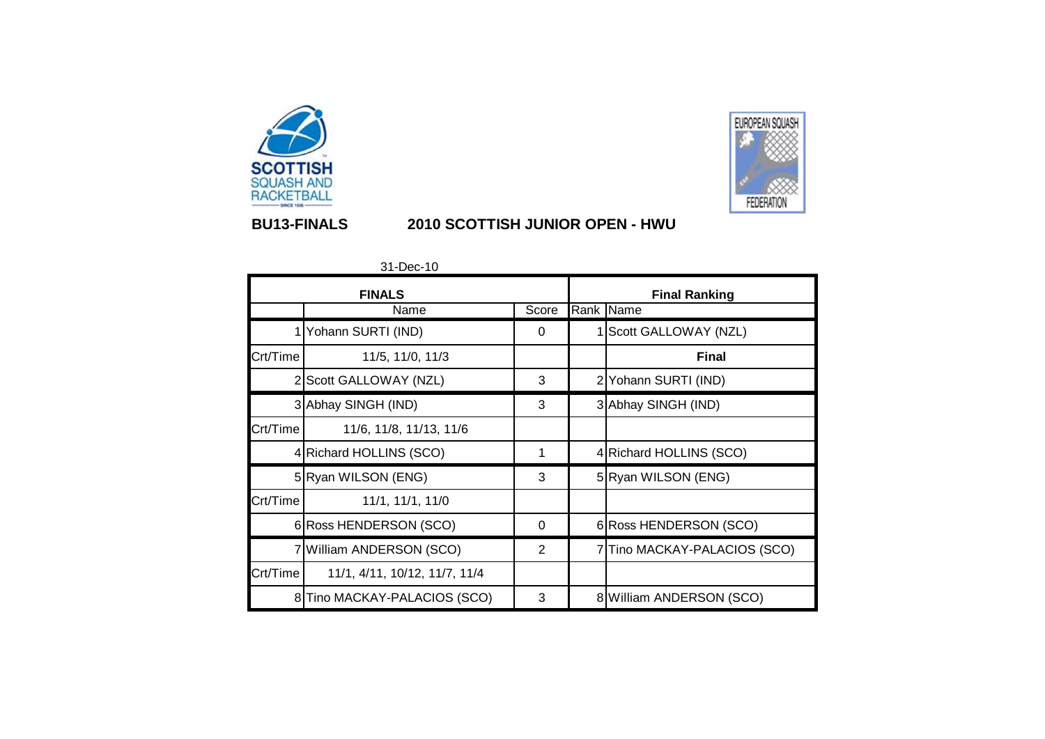



## **BU13-FINALS 2010 SCOTTISH JUNIOR OPEN - HWU**

31-Dec-10

|          | <b>FINALS</b>                 |       | <b>Final Ranking</b> |                              |  |  |  |  |
|----------|-------------------------------|-------|----------------------|------------------------------|--|--|--|--|
|          | Name                          | Score |                      | Rank Name                    |  |  |  |  |
|          | Yohann SURTI (IND)            | 0     |                      | 1 Scott GALLOWAY (NZL)       |  |  |  |  |
| Crt/Time | 11/5, 11/0, 11/3              |       |                      | <b>Final</b>                 |  |  |  |  |
| 2        | Scott GALLOWAY (NZL)          | 3     |                      | 2 Yohann SURTI (IND)         |  |  |  |  |
|          | 3 Abhay SINGH (IND)           | 3     |                      | 3 Abhay SINGH (IND)          |  |  |  |  |
| Crt/Time | 11/6, 11/8, 11/13, 11/6       |       |                      |                              |  |  |  |  |
|          | 4 Richard HOLLINS (SCO)       | 1     |                      | 4 Richard HOLLINS (SCO)      |  |  |  |  |
|          | 5 Ryan WILSON (ENG)           | 3     |                      | 5 Ryan WILSON (ENG)          |  |  |  |  |
| Crt/Time | 11/1, 11/1, 11/0              |       |                      |                              |  |  |  |  |
|          | 6 Ross HENDERSON (SCO)        | 0     |                      | 6 Ross HENDERSON (SCO)       |  |  |  |  |
|          | 7 William ANDERSON (SCO)      | 2     |                      | 7 Tino MACKAY-PALACIOS (SCO) |  |  |  |  |
| Crt/Time | 11/1, 4/11, 10/12, 11/7, 11/4 |       |                      |                              |  |  |  |  |
|          | 8 Tino MACKAY-PALACIOS (SCO)  | 3     |                      | 8 William ANDERSON (SCO)     |  |  |  |  |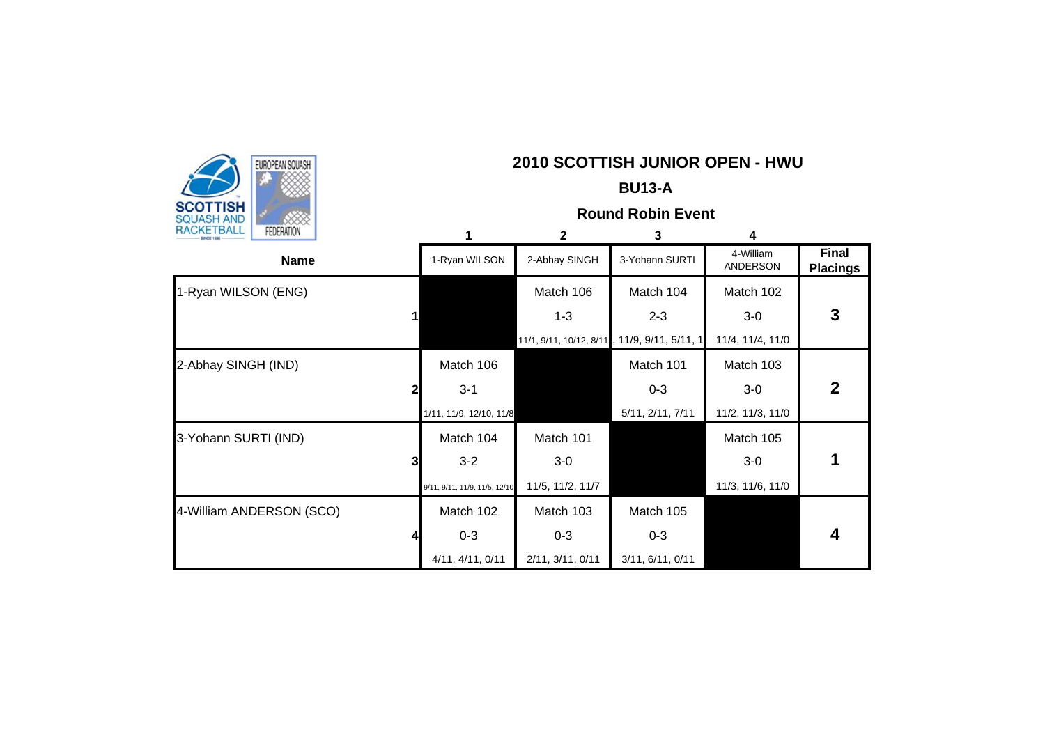|                                      |                |                               |                  | <b>BU13-A</b>                                |                              |                                 |
|--------------------------------------|----------------|-------------------------------|------------------|----------------------------------------------|------------------------------|---------------------------------|
| <b>SCOTTISH</b><br><b>SQUASH AND</b> |                |                               |                  | <b>Round Robin Event</b>                     |                              |                                 |
| RACKETBALL<br><b>FEDERATION</b>      |                | 1                             | $\mathbf{2}$     | 3                                            | 4                            |                                 |
| <b>Name</b>                          |                | 1-Ryan WILSON                 | 2-Abhay SINGH    | 3-Yohann SURTI                               | 4-William<br><b>ANDERSON</b> | <b>Final</b><br><b>Placings</b> |
| 1-Ryan WILSON (ENG)                  |                |                               | Match 106        | Match 104                                    | Match 102                    |                                 |
|                                      | $\mathbf{1}$   |                               | $1 - 3$          | $2 - 3$                                      | $3-0$                        | 3                               |
|                                      |                |                               |                  | 11/1, 9/11, 10/12, 8/11, 11/9, 9/11, 5/11, 1 | 11/4, 11/4, 11/0             |                                 |
| 2-Abhay SINGH (IND)                  |                | Match 106                     |                  | Match 101                                    | Match 103                    |                                 |
|                                      | 21             | $3 - 1$                       |                  | $0 - 3$                                      | $3-0$                        | $\mathbf 2$                     |
|                                      |                | 1/11, 11/9, 12/10, 11/8       |                  | 5/11, 2/11, 7/11                             | 11/2, 11/3, 11/0             |                                 |
| 3-Yohann SURTI (IND)                 |                | Match 104                     | Match 101        |                                              | Match 105                    |                                 |
|                                      | 3 <sub>l</sub> | $3 - 2$                       | $3-0$            |                                              | $3-0$                        |                                 |
|                                      |                | 9/11, 9/11, 11/9, 11/5, 12/10 | 11/5, 11/2, 11/7 |                                              | 11/3, 11/6, 11/0             |                                 |
| 4-William ANDERSON (SCO)             |                | Match 102                     | Match 103        | Match 105                                    |                              |                                 |
|                                      | $\overline{4}$ | $0 - 3$                       | $0 - 3$          | $0 - 3$                                      |                              | 4                               |
|                                      |                | 4/11, 4/11, 0/11              | 2/11, 3/11, 0/11 | 3/11, 6/11, 0/11                             |                              |                                 |

**2010 SCOTTISH JUNIOR OPEN - HWU**<br> **2010 SCOTTISH JUNIOR OPEN - HWU** 

 $\sqrt{2}$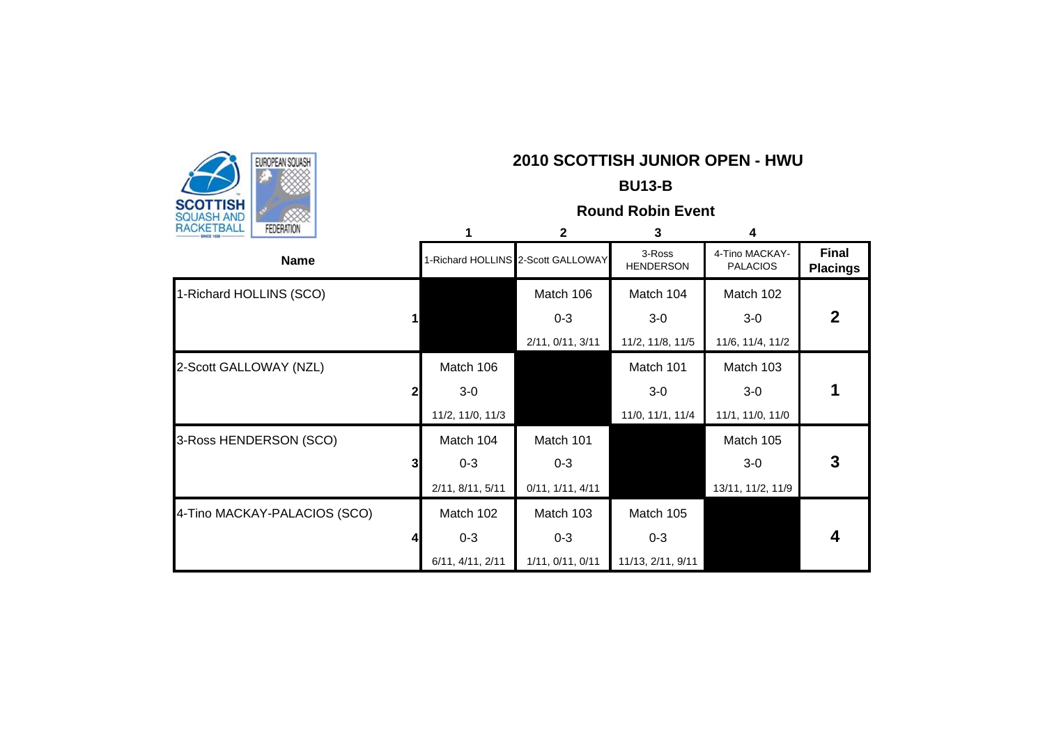| EUROPEAN SQUASH                 |   |                  | 2010 SCOTTISH JUNIOR OPEN - HWU    |                            |                                   |                                 |
|---------------------------------|---|------------------|------------------------------------|----------------------------|-----------------------------------|---------------------------------|
|                                 |   |                  |                                    | <b>BU13-B</b>              |                                   |                                 |
| SCOTTISH<br><b>SQUASH AND</b>   |   |                  |                                    | <b>Round Robin Event</b>   |                                   |                                 |
| RACKETBALL<br><b>FEDERATION</b> |   | 1                | $\overline{2}$                     | 3                          | 4                                 |                                 |
| <b>Name</b>                     |   |                  | 1-Richard HOLLINS 2-Scott GALLOWAY | 3-Ross<br><b>HENDERSON</b> | 4-Tino MACKAY-<br><b>PALACIOS</b> | <b>Final</b><br><b>Placings</b> |
| 1-Richard HOLLINS (SCO)         |   |                  | Match 106                          | Match 104                  | Match 102                         |                                 |
|                                 |   |                  | $0 - 3$                            | $3-0$                      | $3-0$                             | $\mathbf 2$                     |
|                                 |   |                  | 2/11, 0/11, 3/11                   | 11/2, 11/8, 11/5           | 11/6, 11/4, 11/2                  |                                 |
| 2-Scott GALLOWAY (NZL)          |   | Match 106        |                                    | Match 101                  | Match 103                         |                                 |
|                                 | 2 | $3-0$            |                                    | $3-0$                      | $3-0$                             |                                 |
|                                 |   | 11/2, 11/0, 11/3 |                                    | 11/0, 11/1, 11/4           | 11/1, 11/0, 11/0                  |                                 |
| 3-Ross HENDERSON (SCO)          |   | Match 104        | Match 101                          |                            | Match 105                         |                                 |
|                                 | 3 | $0 - 3$          | $0 - 3$                            |                            | $3-0$                             | 3                               |
|                                 |   | 2/11, 8/11, 5/11 | 0/11, 1/11, 4/11                   |                            | 13/11, 11/2, 11/9                 |                                 |
| 4-Tino MACKAY-PALACIOS (SCO)    |   | Match 102        | Match 103                          | Match 105                  |                                   |                                 |
|                                 |   | $0 - 3$          | $0 - 3$                            | $0 - 3$                    |                                   | 4                               |
|                                 |   | 6/11, 4/11, 2/11 | 1/11, 0/11, 0/11                   | 11/13, 2/11, 9/11          |                                   |                                 |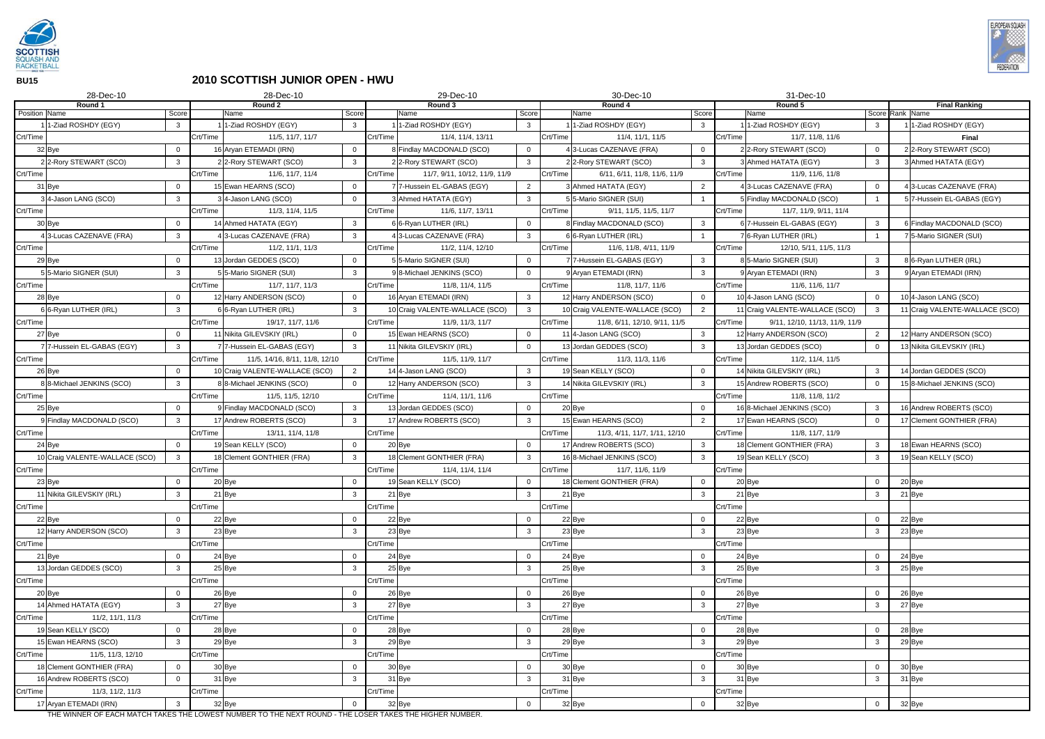

**BU15**

## **2010 SCOTTISH JUNIOR OPEN - HWU**

| 28-Dec-10                         |                | 28-Dec-10<br>29-Dec-10                                                                                |                |                                                         |                            |          | 30-Dec-10                                           |                                |          | 31-Dec-10                                      |                |                 |                                                |
|-----------------------------------|----------------|-------------------------------------------------------------------------------------------------------|----------------|---------------------------------------------------------|----------------------------|----------|-----------------------------------------------------|--------------------------------|----------|------------------------------------------------|----------------|-----------------|------------------------------------------------|
| Round 1<br><b>Position</b> Name   | Score          | Round 2<br>Name                                                                                       | Score          | Round 3<br>Name                                         | Score                      |          | Round 4<br>Name                                     | Score                          |          | Round 5<br>Name                                |                | Score Rank Name | <b>Final Ranking</b>                           |
| 1-Ziad ROSHDY (EGY)               | $\mathbf{3}$   | 1-Ziad ROSHDY (EGY)                                                                                   | $\mathbf{3}$   | 1-Ziad ROSHDY (EGY)                                     | $\mathbf{3}$               |          | 1-Ziad ROSHDY (EGY)                                 | $\mathbf{3}$                   |          | 1-Ziad ROSHDY (EGY)                            | $\mathbf{3}$   |                 | 1-Ziad ROSHDY (EGY)                            |
| Crt/Time                          |                | Crt/Time<br>11/5, 11/7, 11/7                                                                          |                | Crt/Time<br>11/4, 11/4, 13/11                           |                            | Crt/Time | 11/4, 11/1, 11/5                                    |                                | Crt/Time | 11/7, 11/8, 11/6                               |                |                 | <b>Final</b>                                   |
| 32 Bye                            | $\Omega$       | 16 Aryan ETEMADI (IRN)                                                                                | - 0            | Findlay MACDONALD (SCO)                                 | $\overline{0}$             |          | 43-Lucas CAZENAVE (FRA)                             | $\mathbf 0$                    |          | 22-Rory STEWART (SCO)                          | $\overline{0}$ |                 | 2 2-Rory STEWART (SCO)                         |
| 22-Rory STEWART (SCO)             | $\mathbf{3}$   | 22-Rory STEWART (SCO)                                                                                 | $\mathbf{3}$   | 22-Rory STEWART (SCO)                                   | $\overline{3}$             |          | 22-Rory STEWART (SCO)                               | $\mathbf{3}$                   |          | Ahmed HATATA (EGY)                             | $\mathbf{3}$   |                 | 3 Ahmed HATATA (EGY)                           |
| Crt/Time                          |                | Crt/Time<br>11/6, 11/7, 11/4                                                                          |                | Crt/Time<br>11/7, 9/11, 10/12, 11/9, 11/9               |                            | Crt/Time | 6/11, 6/11, 11/8, 11/6, 11/9                        |                                | Crt/Time | 11/9, 11/6, 11/8                               |                |                 |                                                |
|                                   |                | 15 Ewan HEARNS (SCO)                                                                                  | $\Omega$       | 7-Hussein EL-GABAS (EGY)                                | $\overline{2}$             |          | 3 Ahmed HATATA (EGY)                                | $\overline{2}$                 |          | 3-Lucas CAZENAVE (FRA)                         | $\mathbf 0$    |                 | 4 3-Lucas CAZENAVE (FRA)                       |
| 31 Bye<br>4-Jason LANG (SCO)      | -3             |                                                                                                       | $\Omega$       |                                                         | $\mathbf{3}$               |          |                                                     |                                |          | Findlay MACDONALD (SCO)                        |                |                 | 57-Hussein EL-GABAS (EGY)                      |
|                                   |                | 34-Jason LANG (SCO)<br>Crt/Time<br>11/3, 11/4, 11/5                                                   |                | Ahmed HATATA (EGY)<br>Crt/Time<br>11/6, 11/7, 13/11     |                            | Crt/Time | 55-Mario SIGNER (SUI)                               |                                | Crt/Time | 11/7, 11/9, 9/11, 11/4                         |                |                 |                                                |
| Crt/Time                          |                |                                                                                                       |                |                                                         |                            |          | 9/11, 11/5, 11/5, 11/7                              |                                |          |                                                |                |                 |                                                |
| 30 Bye<br>43-Lucas CAZENAVE (FRA) | $\Omega$       | 14 Ahmed HATATA (EGY)                                                                                 | $\mathbf{3}$   | 6 6-Ryan LUTHER (IRL)                                   | $\overline{0}$             |          | 8 Findlay MACDONALD (SCO)                           | $\mathbf{3}$<br>$\overline{1}$ |          | 7-Hussein EL-GABAS (EGY)                       | $\mathbf{3}$   |                 | 6 Findlay MACDONALD (SCO)                      |
| Crt/Time                          | $\mathbf{3}$   | 43-Lucas CAZENAVE (FRA)<br>Crt/Time<br>11/2, 11/1, 11/3                                               | $\mathbf{3}$   | 3-Lucas CAZENAVE (FRA)<br>Crt/Time<br>11/2, 11/4, 12/10 | $\mathbf{3}$               | Crt/Time | 6 6-Ryan LUTHER (IRL)<br>11/6, 11/8, 4/11, 11/9     |                                | Crt/Time | 6-Ryan LUTHER (IRL)<br>12/10, 5/11, 11/5, 11/3 |                |                 | 7 5-Mario SIGNER (SUI)                         |
|                                   | $\Omega$       | 13 Jordan GEDDES (SCO)                                                                                | $\overline{0}$ | 5 5-Mario SIGNER (SUI)                                  |                            |          |                                                     | $\mathbf{3}$                   |          | 8 5-Mario SIGNER (SUI)                         | $\mathbf{3}$   |                 |                                                |
| 29 Bye<br>5 5-Mario SIGNER (SUI)  | 3              | 5 5-Mario SIGNER (SUI)                                                                                | $\mathbf{3}$   | 8-Michael JENKINS (SCO)                                 | $\overline{0}$<br>$\Omega$ |          | 7 7-Hussein EL-GABAS (EGY)<br>9 Aryan ETEMADI (IRN) | $\mathbf{3}$                   |          | Aryan ETEMADI (IRN)                            | $\mathbf{3}$   |                 | 8 6-Ryan LUTHER (IRL)<br>9 Aryan ETEMADI (IRN) |
| Crt/Time                          |                | Crt/Time<br>11/7, 11/7, 11/3                                                                          |                | Crt/Time<br>11/8, 11/4, 11/5                            |                            | Crt/Time | 11/8, 11/7, 11/6                                    |                                | Crt/Time | 11/6, 11/6, 11/7                               |                |                 |                                                |
| 28 Bye                            |                | 12 Harry ANDERSON (SCO)                                                                               | $\Omega$       | 16 Aryan ETEMADI (IRN)                                  | $\mathbf{3}$               |          | 12 Harry ANDERSON (SCO)                             | $\mathbf 0$                    |          | 10 4-Jason LANG (SCO)                          | $\mathbf 0$    |                 | 10 4-Jason LANG (SCO)                          |
| 66-Ryan LUTHER (IRL)              | 3              | 66-Ryan LUTHER (IRL)                                                                                  | $\mathbf{3}$   | 10 Craig VALENTE-WALLACE (SCO)                          | $\mathbf{3}$               |          | 10 Craig VALENTE-WALLACE (SCO)                      | $\overline{2}$                 |          | 1 Craig VALENTE-WALLACE (SCO)                  | 3              |                 | 11 Craig VALENTE-WALLACE (SCO)                 |
| Crt/Time                          |                | Crt/Time<br>19/17, 11/7, 11/6                                                                         |                | Crt/Time<br>11/9. 11/3. 11/7                            |                            | Crt/Time | 11/8, 6/11, 12/10, 9/11, 11/5                       |                                | Crt/Time | 9/11, 12/10, 11/13, 11/9, 11/9                 |                |                 |                                                |
| 27 Bye                            | $\Omega$       | 11 Nikita GILEVSKIY (IRL)                                                                             | $\Omega$       | 15 Ewan HEARNS (SCO)                                    | $\overline{0}$             |          | 11 4-Jason LANG (SCO)                               | $\mathbf{3}$                   |          | 12 Harry ANDERSON (SCO)                        | 2              |                 | 12 Harry ANDERSON (SCO)                        |
| 77-Hussein EL-GABAS (EGY)         | 3              | 7-Hussein EL-GABAS (EGY)                                                                              | 3              | 11 Nikita GILEVSKIY (IRL)                               | $\Omega$                   |          | 13 Jordan GEDDES (SCO)                              | $\mathbf{3}$                   |          | 3 Jordan GEDDES (SCO)                          | $\Omega$       |                 | 13 Nikita GILEVSKIY (IRL)                      |
| Crt/Time                          |                | Crt/Time<br>11/5, 14/16, 8/11, 11/8, 12/10                                                            |                | Crt/Time<br>11/5, 11/9, 11/7                            |                            | Crt/Time | 11/3, 11/3, 11/6                                    |                                | Crt/Time | 11/2, 11/4, 11/5                               |                |                 |                                                |
| 26 Bye                            |                | 10 Craig VALENTE-WALLACE (SCO)                                                                        | $\overline{2}$ | 14 4-Jason LANG (SCO)                                   | $\mathbf{3}$               |          | 19 Sean KELLY (SCO)                                 | $\mathbf 0$                    |          | 14 Nikita GILEVSKIY (IRL)                      | 3              |                 | 14 Jordan GEDDES (SCO)                         |
| 88-Michael JENKINS (SCO)          | 3              | 8 8-Michael JENKINS (SCO)                                                                             | $\overline{0}$ | 12 Harry ANDERSON (SCO)                                 | $\mathbf{3}$               |          | 14 Nikita GILEVSKIY (IRL)                           | $\mathbf{3}$                   |          | 15 Andrew ROBERTS (SCO)                        | $\mathbf 0$    |                 | 15 8-Michael JENKINS (SCO)                     |
| Crt/Time                          |                | Crt/Time<br>11/5, 11/5, 12/10                                                                         |                | Crt/Time<br>11/4, 11/1, 11/6                            |                            | Crt/Time |                                                     |                                | Crt/Time | 11/8, 11/8, 11/2                               |                |                 |                                                |
| 25 Bye                            | $\Omega$       | 9 Findlay MACDONALD (SCO)                                                                             | $\mathbf{3}$   | 13 Jordan GEDDES (SCO)                                  | $\overline{0}$             |          | 20 Bye                                              | $\mathbf 0$                    |          | 16 8-Michael JENKINS (SCO)                     | $\mathbf{3}$   |                 | 16 Andrew ROBERTS (SCO)                        |
| 9 Findlay MACDONALD (SCO)         | $\mathbf{3}$   | 17 Andrew ROBERTS (SCO)                                                                               | $\mathbf{3}$   | 17 Andrew ROBERTS (SCO)                                 | $\mathbf{3}$               |          | 5 Ewan HEARNS (SCO)                                 | $\overline{2}$                 |          | 7 Ewan HEARNS (SCO)                            | $\overline{0}$ |                 | 17 Clement GONTHIER (FRA)                      |
| Crt/Time                          |                | Crt/Time<br>13/11, 11/4, 11/8                                                                         |                | Crt/Time                                                |                            | Crt/Time | 11/3, 4/11, 11/7, 1/11, 12/10                       |                                | Crt/Time | 11/8, 11/7, 11/9                               |                |                 |                                                |
| 24 Bye                            |                | 19 Sean KELLY (SCO)                                                                                   | $\Omega$       | 20 Bye                                                  | $\Omega$                   |          | 17 Andrew ROBERTS (SCO)                             | $\mathbf{3}$                   |          | 18 Clement GONTHIER (FRA)                      | 3              |                 | 18 Ewan HEARNS (SCO)                           |
| 10 Craig VALENTE-WALLACE (SCO)    | $\mathbf{3}$   | 18 Clement GONTHIER (FRA)                                                                             | $\mathbf{3}$   | 18 Clement GONTHIER (FRA)                               | $\mathbf{3}$               |          | 16 8-Michael JENKINS (SCO)                          | $\mathbf{3}$                   |          | 9 Sean KELLY (SCO)                             | $\mathbf{3}$   |                 | 19 Sean KELLY (SCO)                            |
| Crt/Time                          |                | Crt/Time                                                                                              |                | Crt/Time<br>11/4, 11/4, 11/4                            |                            | Crt/Time | 11/7, 11/6, 11/9                                    |                                | Crt/Time |                                                |                |                 |                                                |
| 23 Bye                            |                | 20 Bye                                                                                                | $\Omega$       | 19 Sean KELLY (SCO)                                     | $\overline{0}$             |          | 18 Clement GONTHIER (FRA)                           | $\mathbf 0$                    |          | 20 Bye                                         | $\overline{0}$ | 20 Bye          |                                                |
| 11 Nikita GILEVSKIY (IRL)         | $\mathbf{3}$   | 21 Bye                                                                                                | 3 <sup>1</sup> | 21 Bye                                                  | 3 <sup>3</sup>             |          | 21 Bye                                              | $\mathbf{3}$                   |          | 21 Bye                                         | $\mathbf{3}$   | $21$ Bye        |                                                |
| Crt/Time                          |                | Crt/Time                                                                                              |                | Crt/Time                                                |                            | Crt/Time |                                                     |                                | Crt/Time |                                                |                |                 |                                                |
| 22 Bye                            | $\Omega$       | 22 Bye                                                                                                | 0              | 22 Bye                                                  | $\mathbf 0$                |          | 22 Bye                                              | $\mathbf 0$                    |          | 22 Bye                                         | $\mathbf 0$    | 22 Bye          |                                                |
| 12 Harry ANDERSON (SCO)           | $\mathbf{3}$   | 23 Bye                                                                                                | $\mathbf{3}$   | 23 Bye                                                  | $\mathbf{3}$               |          | 23 Bye                                              | $\mathbf{3}$                   |          | 23 Bye                                         | $\mathbf{3}$   | 23 Bye          |                                                |
| Crt/Time                          |                | Crt/Time                                                                                              |                | Crt/Time                                                |                            | Crt/Time |                                                     |                                | Crt/Time |                                                |                |                 |                                                |
| 21 Bye                            | $\Omega$       | 24 Bye                                                                                                | 0              | 24 Bye                                                  | $\overline{0}$             |          | 24 Bye                                              | $\mathbf 0$                    |          | 24 Bye                                         | $\mathbf 0$    | 24 Bye          |                                                |
| 13 Jordan GEDDES (SCO)            | 3              | 25 Bye                                                                                                | $\mathbf{3}$   | 25 Bye                                                  | 3 <sup>1</sup>             |          | 25 Bye                                              | $\mathbf{3}$                   |          | 25 Bye                                         | $\mathbf{3}$   | 25 Bye          |                                                |
| Crt/Time                          |                | Crt/Time                                                                                              |                | Crt/Time                                                |                            | Crt/Time |                                                     |                                | Crt/Time |                                                |                |                 |                                                |
| 20 Bye                            | 0              | 26 Bye                                                                                                | 0              | 26 Bye                                                  | $\overline{0}$             |          | 26 Bye                                              | $\mathbf 0$                    |          | 26 Bye                                         | $\mathbf 0$    | 26 Bye          |                                                |
| 14 Ahmed HATATA (EGY)             | $\mathbf{3}$   | 27 Bye                                                                                                | $\mathbf{3}$   | 27 Bye                                                  | $\mathbf{3}$               |          | 27 Bye                                              | $\mathbf{3}$                   |          | 27 Bye                                         | $\mathbf{3}$   | 27 Bye          |                                                |
| Crt/Time<br>11/2, 11/1, 11/3      |                | Crt/Time                                                                                              |                | Crt/Time                                                |                            | Crt/Time |                                                     |                                | Crt/Time |                                                |                |                 |                                                |
| 19 Sean KELLY (SCO)               | $\mathbf 0$    | 28 Bye                                                                                                | $\overline{0}$ | 28 Bye                                                  | $\overline{0}$             |          | 28 Bye                                              | $\mathbf 0$                    |          | 28 Bye                                         | $\mathbf 0$    | 28 Bye          |                                                |
| 15 Ewan HEARNS (SCO)              | $\mathbf{3}$   | 29 Bye                                                                                                | $\mathbf{3}$   | 29 Bye                                                  | $\mathbf{3}$               |          | 29 Bye                                              | $\mathbf{3}$                   |          | 29 Bye                                         | $\mathbf{3}$   | 29 Bye          |                                                |
| Crt/Time<br>11/5, 11/3, 12/10     |                | Crt/Time                                                                                              |                | Crt/Time                                                |                            | Crt/Time |                                                     |                                | Crt/Time |                                                |                |                 |                                                |
| 18 Clement GONTHIER (FRA)         | $\overline{0}$ | 30 Bye                                                                                                | $\overline{0}$ | 30 Bye                                                  | $\overline{0}$             |          | 30 Bye                                              | $\mathbf{0}$                   |          | 30 Bye                                         | $\mathbf 0$    | 30 Bye          |                                                |
| 16 Andrew ROBERTS (SCO)           |                | 31 Bye                                                                                                | $\mathbf{3}$   | 31 Bye                                                  | $\mathbf{3}$               |          | 31 Bye                                              | $\mathbf{3}$                   |          | 31 Bye                                         | $\mathbf{3}$   | 31 Bye          |                                                |
| Crt/Time<br>11/3, 11/2, 11/3      |                | Crt/Time                                                                                              |                | Crt/Time                                                |                            | Crt/Time |                                                     |                                | Crt/Time |                                                |                |                 |                                                |
| 17 Aryan ETEMADI (IRN)            | 3              | 32 Bye                                                                                                |                | 32 Bye                                                  | $\overline{0}$             |          | 32 Bye                                              | $\mathbf 0$                    |          | 32 Bye                                         | $\overline{0}$ | 32 Bye          |                                                |
|                                   |                | THE WINNER OF EACH MATCH TAKES THE LOWEST NUMBER TO THE NEVT ROUND. THE LOSER TAKES THE HIGHER NUMBER |                |                                                         |                            |          |                                                     |                                |          |                                                |                |                 |                                                |

THE WINNER OF EACH MATCH TAKES THE LOWEST NUMBER TO THE NEXT ROUND - THE LOSER TAKES THE HIGHER NUMBER.

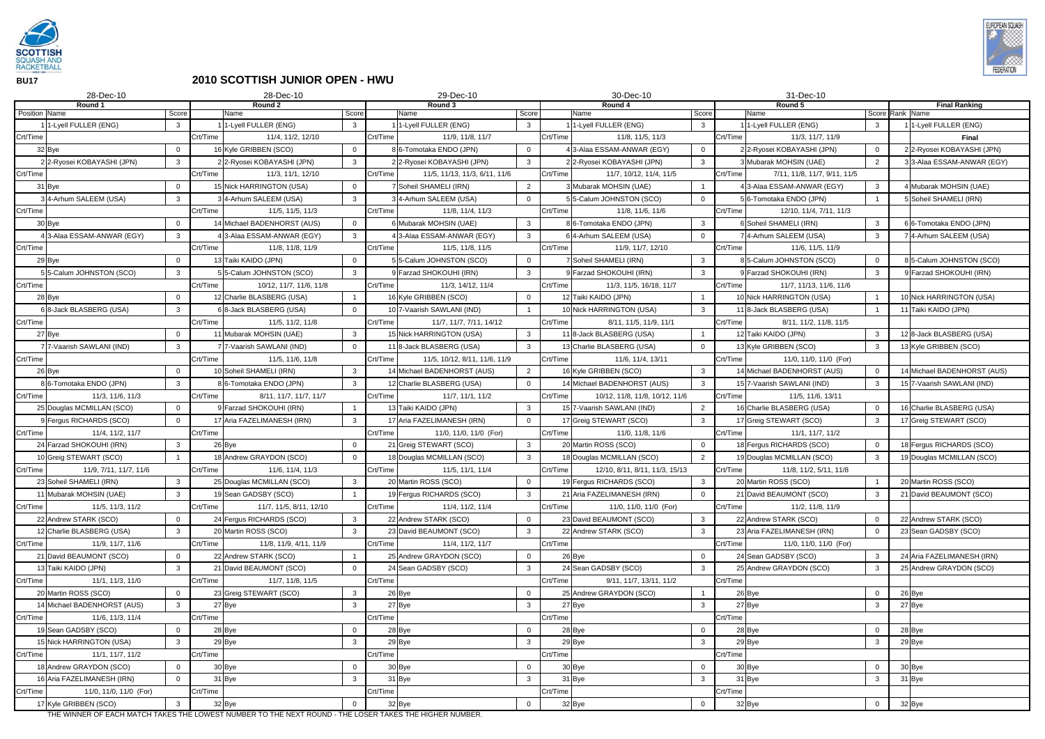

**BU17**

## **2010 SCOTTISH JUNIOR OPEN - HWU**

| 28-Dec-10                          |                | 28-Dec-10                                                                                                           | 30-Dec-10      |                                           |                |          | 31-Dec-10                      |                |          |                              |                |                                         |
|------------------------------------|----------------|---------------------------------------------------------------------------------------------------------------------|----------------|-------------------------------------------|----------------|----------|--------------------------------|----------------|----------|------------------------------|----------------|-----------------------------------------|
| Round 1<br><b>Position</b> Name    | Score          | Round 2<br>Name                                                                                                     | Score          | Round 3<br>Name                           | Score          |          | Round 4<br>Name                | Score          |          | Round 5<br>Name              |                | <b>Final Ranking</b><br>Score Rank Name |
| 1-Lyell FULLER (ENG)               | 3              | 1-Lyell FULLER (ENG)                                                                                                | $\mathbf{3}$   | 1-Lyell FULLER (ENG)                      | $\mathbf{3}$   |          | 1-Lyell FULLER (ENG)           | $\mathbf{3}$   |          | 1-Lyell FULLER (ENG)         | $\mathbf{3}$   | 11-Lyell FULLER (ENG)                   |
| Crt/Time                           |                | Crt/Time<br>11/4, 11/2, 12/10                                                                                       |                | Crt/Time<br>11/9, 11/8, 11/7              |                | Crt/Time | 11/8, 11/5, 11/3               |                | Crt/Time | 11/3, 11/7, 11/9             |                | <b>Final</b>                            |
| 32 Bye                             | $\Omega$       | 16 Kyle GRIBBEN (SCO)                                                                                               | $\mathbf 0$    | 6-Tomotaka ENDO (JPN)                     | $\overline{0}$ |          | 43-Alaa ESSAM-ANWAR (EGY)      | $\overline{0}$ |          | 22-Ryosei KOBAYASHI (JPN)    | $\overline{0}$ | 2 2-Ryosei KOBAYASHI (JPN)              |
| 22-Ryosei KOBAYASHI (JPN)          | 3              | 2 2-Ryosei KOBAYASHI (JPN)                                                                                          | $\mathbf{3}$   | 2 2-Ryosei KOBAYASHI (JPN)                | $\mathbf{3}$   |          | 22-Ryosei KOBAYASHI (JPN)      | $\mathbf{3}$   |          | Mubarak MOHSIN (UAE)         | $\overline{2}$ | 3 3-Alaa ESSAM-ANWAR (EGY)              |
| Crt/Time                           |                | Crt/Time<br>11/3, 11/1, 12/10                                                                                       |                | Crt/Time<br>11/5, 11/13, 11/3, 6/11, 11/6 |                | Crt/Time | 11/7, 10/12, 11/4, 11/5        |                | Crt/Time | 7/11, 11/8, 11/7, 9/11, 11/5 |                |                                         |
| 31 Bye                             |                | 15 Nick HARRINGTON (USA)                                                                                            | $\overline{0}$ | Soheil SHAMELI (IRN)                      | 2              |          | 3 Mubarak MOHSIN (UAE)         |                |          | 3-Alaa ESSAM-ANWAR (EGY)     | $\mathbf{3}$   | 4 Mubarak MOHSIN (UAE)                  |
| 34-Arhum SALEEM (USA)              | 3              | 34-Arhum SALEEM (USA)                                                                                               | -3             | 4-Arhum SALEEM (USA)                      | $\Omega$       |          | 55-Calum JOHNSTON (SCO)        | $\Omega$       |          | 6-Tomotaka ENDO (JPN)        |                | 5 Soheil SHAMELI (IRN)                  |
| Crt/Time                           |                | Crt/Time<br>11/5, 11/5, 11/3                                                                                        |                | Crt/Time<br>11/8, 11/4, 11/3              |                | Crt/Time | 11/8, 11/6, 11/6               |                | Crt/Time | 12/10, 11/4, 7/11, 11/3      |                |                                         |
| 30 Bye                             | $\Omega$       | 14 Michael BADENHORST (AUS)                                                                                         | $\Omega$       | Mubarak MOHSIN (UAE)                      | $\mathbf{3}$   |          | 8 6-Tomotaka ENDO (JPN)        | $\mathbf{3}$   |          | Soheil SHAMELI (IRN)         | $\mathbf{3}$   | 6 6-Tomotaka ENDO (JPN)                 |
| 13-Alaa ESSAM-ANWAR (EGY)          | 3              | 3-Alaa ESSAM-ANWAR (EGY)                                                                                            | $\mathbf{3}$   | 3-Alaa ESSAM-ANWAR (EGY)                  | $\mathbf{3}$   |          | 6 4-Arhum SALEEM (USA)         | $\overline{0}$ |          | 4-Arhum SALEEM (USA)         | $\mathbf{3}$   | 74-Arhum SALEEM (USA)                   |
| Crt/Time                           |                | Crt/Time<br>11/8, 11/8, 11/9                                                                                        |                | Crt/Time<br>11/5, 11/8, 11/5              |                | Crt/Time | 11/9, 11/7, 12/10              |                | Crt/Time | 11/6, 11/5, 11/9             |                |                                         |
| 29 Bye                             | $\Omega$       | 13 Taiki KAIDO (JPN)                                                                                                | $\overline{0}$ | 5 5-Calum JOHNSTON (SCO)                  | $\overline{0}$ |          | 7 Soheil SHAMELI (IRN)         | $\mathbf{3}$   |          | 5-Calum JOHNSTON (SCO)       | $\overline{0}$ | 8 5-Calum JOHNSTON (SCO)                |
| 55-Calum JOHNSTON (SCO)            | 3              | 5-Calum JOHNSTON (SCO)                                                                                              | -3             | Farzad SHOKOUHI (IRN)                     | 3              |          | 9 Farzad SHOKOUHI (IRN)        | $\mathbf{3}$   |          | Farzad SHOKOUHI (IRN)        | $\mathbf{3}$   | 9 Farzad SHOKOUHI (IRN)                 |
| Crt/Time                           |                | Crt/Time<br>10/12, 11/7, 11/6, 11/8                                                                                 |                | Crt/Time<br>11/3, 14/12, 11/4             |                | Crt/Time | 11/3, 11/5, 16/18, 11/7        |                | Crt/Time | 11/7, 11/13, 11/6, 11/6      |                |                                         |
| 28 Bye                             |                | 12 Charlie BLASBERG (USA)                                                                                           |                | 16 Kyle GRIBBEN (SCO)                     | $\Omega$       |          | 12 Taiki KAIDO (JPN)           |                |          | 10 Nick HARRINGTON (USA)     |                | 10 Nick HARRINGTON (USA)                |
| 68-Jack BLASBERG (USA)             | 3              | 68-Jack BLASBERG (USA)                                                                                              |                | 7-Vaarish SAWLANI (IND)                   |                |          | 10 Nick HARRINGTON (USA)       | $\mathbf{3}$   |          | 11 8-Jack BLASBERG (USA)     |                | 11 Taiki KAIDO (JPN)                    |
| Crt/Time                           |                | Crt/Time<br>11/5, 11/2, 11/8                                                                                        |                | Crt/Time<br>11/7, 11/7, 7/11, 14/12       |                | Crt/Time | 8/11, 11/5, 11/9, 11/1         |                | Crt/Time | 8/11, 11/2, 11/8, 11/5       |                |                                         |
| 27 Bye                             | $\Omega$       | 11 Mubarak MOHSIN (UAE)                                                                                             | $\mathbf{3}$   | 15 Nick HARRINGTON (USA)                  | $\mathbf{3}$   |          | 11 8-Jack BLASBERG (USA)       |                |          | 12 Taiki KAIDO (JPN)         | $\mathbf{3}$   | 12 8-Jack BLASBERG (USA)                |
| 77-Vaarish SAWLANI (IND)           | 3              | 7-Vaarish SAWLANI (IND)                                                                                             | $\Omega$       | 8-Jack BLASBERG (USA)                     | $\mathbf{3}$   |          | 13 Charlie BLASBERG (USA)      | $\Omega$       |          | 13 Kyle GRIBBEN (SCO)        | $\mathbf{3}$   | 13 Kyle GRIBBEN (SCO)                   |
| Crt/Time                           |                | Crt/Time<br>11/5, 11/6, 11/8                                                                                        |                | Crt/Time<br>11/5, 10/12, 8/11, 11/6, 11/9 |                | Crt/Time | 11/6, 11/4, 13/11              |                | Crt/Time | 11/0, 11/0, 11/0 (For)       |                |                                         |
| 26 Bye                             | $\Omega$       | 10 Soheil SHAMELI (IRN)                                                                                             | $\mathbf{3}$   | 14 Michael BADENHORST (AUS)               | $\overline{2}$ |          | 16 Kyle GRIBBEN (SCO)          | $\mathbf{3}$   |          | 14 Michael BADENHORST (AUS)  | $\mathbf 0$    | 14 Michael BADENHORST (AUS)             |
| 86-Tomotaka ENDO (JPN)             | 3              | 86-Tomotaka ENDO (JPN)                                                                                              | $\mathbf{3}$   | 12 Charlie BLASBERG (USA)                 | $\overline{0}$ |          | 14 Michael BADENHORST (AUS)    | $\mathbf{3}$   |          | 15 7-Vaarish SAWLANI (IND)   | $\mathbf{3}$   | 15 7-Vaarish SAWLANI (IND)              |
| Crt/Time<br>11/3, 11/6, 11/3       |                | Crt/Time<br>8/11, 11/7, 11/7, 11/7                                                                                  |                | Crt/Time<br>11/7, 11/1, 11/2              |                | Crt/Time | 10/12, 11/8, 11/8, 10/12, 11/6 |                | Crt/Time | 11/5, 11/6, 13/11            |                |                                         |
| 25 Douglas MCMILLAN (SCO)          | $\Omega$       | 9 Farzad SHOKOUHI (IRN)                                                                                             |                | 13 Taiki KAIDO (JPN)                      | $\mathbf{3}$   |          | 15 7-Vaarish SAWLANI (IND)     | $\overline{2}$ |          | 16 Charlie BLASBERG (USA)    | $\overline{0}$ | 16 Charlie BLASBERG (USA)               |
| 9 Fergus RICHARDS (SCO)            |                | 17 Aria FAZELIMANESH (IRN)                                                                                          | -3             | 17 Aria FAZELIMANESH (IRN)                | $\overline{0}$ |          | 17 Greig STEWART (SCO)         | $\mathbf{3}$   |          | 7 Greig STEWART (SCO)        | $\mathbf{3}$   | 17 Greig STEWART (SCO)                  |
| 11/4, 11/2, 11/7<br>Crt/Time       |                | Crt/Time                                                                                                            |                | Crt/Time<br>11/0, 11/0, 11/0 (For)        |                | Crt/Time | 11/0, 11/8, 11/6               |                | Crt/Time | 11/1, 11/7, 11/2             |                |                                         |
| 24 Farzad SHOKOUHI (IRN)           |                | 26 Bye                                                                                                              | $\Omega$       | 21 Greig STEWART (SCO)                    | $\mathbf{3}$   |          | 20 Martin ROSS (SCO)           | $\overline{0}$ |          | 18 Fergus RICHARDS (SCO)     | $\mathbf 0$    | 18 Fergus RICHARDS (SCO)                |
| 10 Greig STEWART (SCO)             |                | 18 Andrew GRAYDON (SCO)                                                                                             | $\overline{0}$ | 18 Douglas MCMILLAN (SCO)                 | $\mathbf{3}$   |          | 18 Douglas MCMILLAN (SCO)      | 2              |          | 19 Douglas MCMILLAN (SCO)    | $\mathbf{3}$   | 19 Douglas MCMILLAN (SCO)               |
| Crt/Time<br>11/9, 7/11, 11/7, 11/6 |                | Crt/Time<br>11/6, 11/4, 11/3                                                                                        |                | Crt/Time<br>11/5, 11/1, 11/4              |                | Crt/Time | 12/10, 8/11, 8/11, 11/3, 15/13 |                | Crt/Time | 11/8, 11/2, 5/11, 11/8       |                |                                         |
| 23 Soheil SHAMELI (IRN)            | 3              | 25 Douglas MCMILLAN (SCO)                                                                                           | $\mathbf{3}$   | 20 Martin ROSS (SCO)                      | $\overline{0}$ |          | 19 Fergus RICHARDS (SCO)       | $\mathbf{3}$   |          | 20 Martin ROSS (SCO)         |                | 20 Martin ROSS (SCO)                    |
| 11 Mubarak MOHSIN (UAE)            | $\mathbf{3}$   | 19 Sean GADSBY (SCO)                                                                                                |                | 19 Fergus RICHARDS (SCO)                  | 3 <sup>1</sup> |          | 21 Aria FAZELIMANESH (IRN)     | $\mathbf 0$    |          | 21 David BEAUMONT (SCO)      | $\mathbf{3}$   | 21 David BEAUMONT (SCO)                 |
| Crt/Time<br>11/5, 11/3, 11/2       |                | Crt/Time<br>11/7, 11/5, 8/11, 12/10                                                                                 |                | Crt/Time<br>11/4, 11/2, 11/4              |                | Crt/Time | 11/0, 11/0, 11/0 (For)         |                | Crt/Time | 11/2, 11/8, 11/9             |                |                                         |
| 22 Andrew STARK (SCO)              | $\overline{0}$ | 24 Fergus RICHARDS (SCO)                                                                                            | $\mathbf{3}$   | 22 Andrew STARK (SCO)                     | $\overline{0}$ |          | 23 David BEAUMONT (SCO)        | $\mathbf{3}$   |          | 22 Andrew STARK (SCO)        | $\overline{0}$ | 22 Andrew STARK (SCO)                   |
| 12 Charlie BLASBERG (USA)          | 3              | 20 Martin ROSS (SCO)                                                                                                | $\mathbf{3}$   | 23 David BEAUMONT (SCO)                   | $\mathbf{3}$   |          | 22 Andrew STARK (SCO)          | $\mathbf{3}$   |          | 23 Aria FAZELIMANESH (IRN)   | $\overline{0}$ | 23 Sean GADSBY (SCO)                    |
| Crt/Time<br>11/9, 11/7, 11/6       |                | Crt/Time<br>11/8, 11/9, 4/11, 11/9                                                                                  |                | Crt/Time<br>11/4, 11/2, 11/7              |                | Crt/Time |                                |                | Crt/Time | 11/0, 11/0, 11/0 (For)       |                |                                         |
| 21 David BEAUMONT (SCO)            | $\overline{0}$ | 22 Andrew STARK (SCO)                                                                                               |                | 25 Andrew GRAYDON (SCO)                   | $\mathbf 0$    |          | 26 Bye                         | $\mathbf 0$    |          | 24 Sean GADSBY (SCO)         | $\mathbf{3}$   | 24 Aria FAZELIMANESH (IRN)              |
| 13 Taiki KAIDO (JPN)               | $\mathbf{3}$   | 21 David BEAUMONT (SCO)                                                                                             | $\Omega$       | 24 Sean GADSBY (SCO)                      | $\mathbf{3}$   |          | 24 Sean GADSBY (SCO)           | $\mathbf{3}$   |          | 25 Andrew GRAYDON (SCO)      | $\mathbf{3}$   | 25 Andrew GRAYDON (SCO)                 |
| 11/1, 11/3, 11/0<br>Crt/Time       |                | Crt/Time<br>11/7, 11/8, 11/5                                                                                        |                | Crt/Time                                  |                | Crt/Time | 9/11, 11/7, 13/11, 11/2        |                | Crt/Time |                              |                |                                         |
| 20 Martin ROSS (SCO)               | 0              | 23 Greig STEWART (SCO)                                                                                              | $\mathbf{3}$   | 26 Bye                                    | $\mathbf 0$    |          | 25 Andrew GRAYDON (SCO)        |                |          | 26 Bye                       | $\mathbf{0}$   | 26 Bye                                  |
| 14 Michael BADENHORST (AUS)        | 3              | 27 Bye                                                                                                              | $\mathbf{3}$   | 27 Bye                                    | $\mathbf{3}$   |          | 27 Bye                         | $\mathbf{3}$   |          | 27 Bye                       | $\mathbf{3}$   | 27 Bye                                  |
| Crt/Time<br>11/6, 11/3, 11/4       |                | Crt/Time                                                                                                            |                | Crt/Time                                  |                | Crt/Time |                                |                | Crt/Time |                              |                |                                         |
| 19 Sean GADSBY (SCO)               | $\mathbf 0$    | 28 Bye                                                                                                              | $\mathbf 0$    | 28 Bye                                    | $\overline{0}$ |          | 28 Bye                         | $\mathbf 0$    |          | 28 Bye                       | $\mathbf 0$    | 28 Bye                                  |
| 15 Nick HARRINGTON (USA)           | 3              | 29 Bye                                                                                                              | $\mathbf{3}$   | 29 Bye                                    | $\mathbf{3}$   |          | 29 Bye                         | $\mathbf{3}$   |          | 29 Bye                       | $\mathbf{3}$   | 29 Bye                                  |
| Crt/Time<br>11/1, 11/7, 11/2       |                | Crt/Time                                                                                                            |                | Crt/Time                                  |                | Crt/Time |                                |                | Crt/Time |                              |                |                                         |
| 18 Andrew GRAYDON (SCO)            | $\mathbf 0$    | 30 Bye                                                                                                              | $\overline{0}$ | 30 Bye                                    | $\overline{0}$ |          | 30 Bye                         | $\mathbf 0$    |          | 30 Bye                       | $\mathbf{0}$   | 30 Bye                                  |
| 16 Aria FAZELIMANESH (IRN)         | $\Omega$       | 31 Bye                                                                                                              | $\mathbf{3}$   | 31 Bye                                    | $\mathbf{3}$   |          | 31 Bye                         | $\mathbf{3}$   |          | 31 Bye                       | $\mathbf{3}$   | 31 Bye                                  |
| Crt/Time<br>11/0, 11/0, 11/0 (For) |                | Crt/Time                                                                                                            |                | Crt/Time                                  |                | Crt/Time |                                |                | Crt/Time |                              |                |                                         |
| 17 Kyle GRIBBEN (SCO)              | $\mathbf{3}$   | 32 Bye<br>THE WINNER OF EACH MATCH TAKES THE LOWEST NI IMPER TO THE NEYT ROUND. THE LOSER TAKES THE HIGHER NI IMPER |                | 32 Bye                                    | $\overline{0}$ |          | 32 Bye                         | $\overline{0}$ |          | 32 Bye                       | $\mathbf{0}$   | 32 Bye                                  |

THE WINNER OF EACH MATCH TAKES THE LOWEST NUMBER TO THE NEXT ROUND - THE LOSER TAKES THE HIGHER NUMBER.

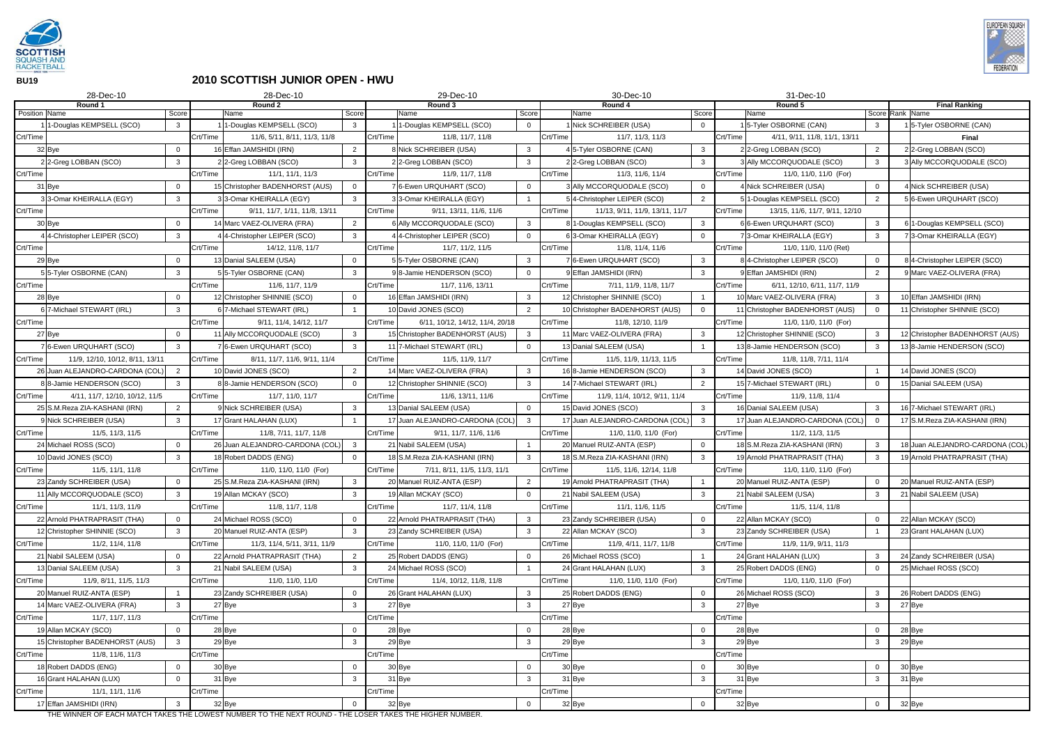

**BU19**

## **2010 SCOTTISH JUNIOR OPEN - HWU**

|               | 28-Dec-10                                                                                                                        |                |          | 28-Dec-10                                                |                |          | 29-Dec-10                                    |                   |          | 30-Dec-10                                  |                              |          | 31-Dec-10                                      |                                |                                 |
|---------------|----------------------------------------------------------------------------------------------------------------------------------|----------------|----------|----------------------------------------------------------|----------------|----------|----------------------------------------------|-------------------|----------|--------------------------------------------|------------------------------|----------|------------------------------------------------|--------------------------------|---------------------------------|
|               | Round 1                                                                                                                          |                |          | Round 2                                                  |                |          | Round 3                                      |                   |          | Round 4                                    |                              |          | Round 5                                        |                                | <b>Final Ranking</b>            |
| Position Name |                                                                                                                                  | Score          |          | Name                                                     | Score          |          | Name                                         | Score             |          | Name                                       | Score                        |          | Name                                           |                                | Score Rank Name                 |
| Crt/Time      | 1-Douglas KEMPSELL (SCO)                                                                                                         | $\mathbf{3}$   | Crt/Time | 1-Douglas KEMPSELL (SCO)<br>11/6, 5/11, 8/11, 11/3, 11/8 | $\mathbf{3}$   | Crt/Time | 1-Douglas KEMPSELL (SCO)<br>11/8, 11/7, 11/8 | $\Omega$          |          | 1 Nick SCHREIBER (USA)<br>11/7, 11/3, 11/3 | $\overline{0}$               |          | 5-Tyler OSBORNE (CAN)                          | $\mathbf{3}$                   | 15-Tyler OSBORNE (CAN)          |
|               |                                                                                                                                  | $\Omega$       |          |                                                          |                |          | 8 Nick SCHREIBER (USA)                       |                   | Crt/Time |                                            |                              | Crt/Time | 4/11, 9/11, 11/8, 11/1, 13/11                  |                                | <b>Final</b>                    |
|               | 32 Bye                                                                                                                           |                |          | 16 Effan JAMSHIDI (IRN)                                  | $\overline{2}$ |          |                                              | $\mathbf{3}$<br>3 |          | 4 5-Tyler OSBORNE (CAN)                    | $\mathbf{3}$<br>$\mathbf{3}$ |          | 2 2-Greg LOBBAN (SCO)                          | $\overline{2}$<br>$\mathbf{3}$ | 2 2-Greg LOBBAN (SCO)           |
| Crt/Time      | 2 2-Greg LOBBAN (SCO)                                                                                                            | $\mathbf{3}$   | Crt/Time | 22-Greg LOBBAN (SCO)<br>11/1, 11/1, 11/3                 | 3              | Crt/Time | 22-Greg LOBBAN (SCO)<br>11/9, 11/7, 11/8     |                   |          | 22-Greg LOBBAN (SCO)<br>11/3, 11/6, 11/4   |                              |          | Ally MCCORQUODALE (SCO)                        |                                | 3 Ally MCCORQUODALE (SCO)       |
|               |                                                                                                                                  |                |          | 15 Christopher BADENHORST (AUS)                          |                |          | 76-Ewen URQUHART (SCO)                       |                   | Crt/Time |                                            |                              | Crt/Time | 11/0, 11/0, 11/0 (For)<br>Nick SCHREIBER (USA) |                                |                                 |
|               | 31 Bye                                                                                                                           | - 0            |          |                                                          | $\overline{0}$ |          |                                              | $\overline{0}$    |          | 3 Ally MCCORQUODALE (SCO)                  | $\overline{0}$               |          |                                                | $\mathbf 0$                    | 4 Nick SCHREIBER (USA)          |
|               | 33-Omar KHEIRALLA (EGY)                                                                                                          | 3              |          | 33-Omar KHEIRALLA (EGY)                                  | $\mathbf{3}$   |          | 33-Omar KHEIRALLA (EGY)                      |                   |          | 54-Christopher LEIPER (SCO)                | $\overline{2}$               |          | 1-Douglas KEMPSELL (SCO)                       | $\overline{2}$                 | 5 6-Ewen URQUHART (SCO)         |
| Crt/Time      |                                                                                                                                  |                | Crt/Time | 9/11, 11/7, 1/11, 11/8, 13/11                            |                | Crt/Time | 9/11, 13/11, 11/6, 11/6                      |                   | Crt/Time | 11/13, 9/11, 11/9, 13/11, 11/7             |                              | Crt/Time | 13/15, 11/6, 11/7, 9/11, 12/10                 |                                |                                 |
|               | 30 Bye                                                                                                                           | $\Omega$       |          | 14 Marc VAEZ-OLIVERA (FRA)                               | 2              |          | 6 Ally MCCORQUODALE (SCO)                    | 3                 |          | 8 1-Douglas KEMPSELL (SCO)                 | $\mathbf{3}$                 |          | 6 6-Ewen URQUHART (SCO)                        | $\mathbf{3}$                   | 6 1-Douglas KEMPSELL (SCO)      |
|               | 44-Christopher LEIPER (SCO)                                                                                                      | 3              |          | 44-Christopher LEIPER (SCO)                              | -3             |          | 4-Christopher LEIPER (SCO)                   | $\Omega$          |          | 63-Omar KHEIRALLA (EGY)                    | $\overline{0}$               |          | 3-Omar KHEIRALLA (EGY)                         | $\mathbf{3}$                   | 73-Omar KHEIRALLA (EGY)         |
| Crt/Time      |                                                                                                                                  |                | Crt/Time | 14/12, 11/8, 11/7                                        |                | Crt/Time | 11/7, 11/2, 11/5                             |                   | Crt/Time | 11/8, 11/4, 11/6                           |                              | Crt/Time | 11/0, 11/0, 11/0 (Ret)                         |                                |                                 |
|               | 29 Bye                                                                                                                           | $\Omega$       |          | 13 Danial SALEEM (USA)                                   |                |          | 55-Tyler OSBORNE (CAN)                       | $\mathbf{3}$      |          | 76-Ewen URQUHART (SCO)                     | $\mathbf{3}$                 |          | 84-Christopher LEIPER (SCO)                    | $\overline{0}$                 | 8 4-Christopher LEIPER (SCO)    |
|               | 55-Tyler OSBORNE (CAN)                                                                                                           | 3              |          | 55-Tyler OSBORNE (CAN)                                   | $\mathbf{3}$   |          | 98-Jamie HENDERSON (SCO)                     | $\Omega$          |          | 9 Effan JAMSHIDI (IRN)                     | $\mathbf{3}$                 |          | <b>JEffan JAMSHIDI (IRN)</b>                   | 2                              | 9 Marc VAEZ-OLIVERA (FRA)       |
| Crt/Time      |                                                                                                                                  |                | Crt/Time | 11/6, 11/7, 11/9                                         |                | Crt/Time | 11/7, 11/6, 13/11                            |                   | Crt/Time | 7/11, 11/9, 11/8, 11/7                     |                              | Crt/Time | 6/11, 12/10, 6/11, 11/7, 11/9                  |                                |                                 |
|               | 28 Bye                                                                                                                           | $\overline{0}$ |          | 12 Christopher SHINNIE (SCO)                             | $\mathbf 0$    |          | 16 Effan JAMSHIDI (IRN)                      | $\mathbf{3}$      |          | 12 Christopher SHINNIE (SCO)               |                              |          | 10 Marc VAEZ-OLIVERA (FRA)                     | $\mathbf{3}$                   | 10 Effan JAMSHIDI (IRN)         |
|               | 67-Michael STEWART (IRL)                                                                                                         | $\mathbf{3}$   |          | 6 7-Michael STEWART (IRL)                                |                |          | 10 David JONES (SCO)                         | 2                 |          | 10 Christopher BADENHORST (AUS)            | $\mathbf 0$                  |          | 11 Christopher BADENHORST (AUS)                | $\overline{0}$                 | 11 Christopher SHINNIE (SCO)    |
| Crt/Time      |                                                                                                                                  |                | Crt/Time | 9/11, 11/4, 14/12, 11/7                                  |                | Crt/Time | 6/11, 10/12, 14/12, 11/4, 20/18              |                   | Crt/Time | 11/8, 12/10, 11/9                          |                              | Crt/Time | 11/0, 11/0, 11/0 (For)                         |                                |                                 |
|               | 27 Bye                                                                                                                           | $\Omega$       |          | 11 Ally MCCORQUODALE (SCO)                               | 3              |          | 15 Christopher BADENHORST (AUS)              | 3                 |          | 11 Marc VAEZ-OLIVERA (FRA)                 | $\mathbf{3}$                 |          | 12 Christopher SHINNIE (SCO)                   | $\mathbf{3}$                   | 12 Christopher BADENHORST (AUS) |
|               | 76-Ewen URQUHART (SCO)                                                                                                           | 3              |          | 6-Ewen URQUHART (SCO)                                    | 3              |          | 11 7-Michael STEWART (IRL)                   | $\Omega$          |          | 13 Danial SALEEM (USA)                     |                              |          | 138-Jamie HENDERSON (SCO)                      | $\mathbf{3}$                   | 138-Jamie HENDERSON (SCO)       |
| Crt/Time      | 11/9, 12/10, 10/12, 8/11, 13/11                                                                                                  |                | Crt/Time | 8/11, 11/7, 11/6, 9/11, 11/4                             |                | Crt/Time | 11/5, 11/9, 11/7                             |                   | Crt/Time | 11/5, 11/9, 11/13, 11/5                    |                              | Crt/Time | 11/8, 11/8, 7/11, 11/4                         |                                |                                 |
|               | 26 Juan ALEJANDRO-CARDONA (COL)                                                                                                  | $\overline{2}$ |          | 10 David JONES (SCO)                                     | 2              |          | 14 Marc VAEZ-OLIVERA (FRA)                   | 3                 |          | 16 8-Jamie HENDERSON (SCO)                 | $\mathbf{3}$                 |          | 14 David JONES (SCO)                           |                                | 14 David JONES (SCO)            |
|               | 88-Jamie HENDERSON (SCO)                                                                                                         | $\mathbf{3}$   |          | 88-Jamie HENDERSON (SCO)                                 | $\overline{0}$ |          | 12 Christopher SHINNIE (SCO)                 | $\mathbf{3}$      |          | 14 7-Michael STEWART (IRL)                 | $\overline{2}$               |          | 15 7-Michael STEWART (IRL)                     | $\overline{0}$                 | 15 Danial SALEEM (USA)          |
| Crt/Time      | 4/11, 11/7, 12/10, 10/12, 11/5                                                                                                   |                | Crt/Time | 11/7, 11/0, 11/7                                         |                | Crt/Time | 11/6, 13/11, 11/6                            |                   | Crt/Time | 11/9, 11/4, 10/12, 9/11, 11/4              |                              | Crt/Time | 11/9, 11/8, 11/4                               |                                |                                 |
|               | 25 S.M.Reza ZIA-KASHANI (IRN)                                                                                                    | 2              |          | <b>PNick SCHREIBER (USA)</b>                             | -3             |          | 13 Danial SALEEM (USA)                       | $\mathbf 0$       |          | 15 David JONES (SCO)                       | $\mathbf{3}$                 |          | 16 Danial SALEEM (USA)                         | $\mathbf{3}$                   | 16 7-Michael STEWART (IRL)      |
|               | 9 Nick SCHREIBER (USA)                                                                                                           | $\mathbf{3}$   |          | 17 Grant HALAHAN (LUX)                                   |                |          | 17 Juan ALEJANDRO-CARDONA (COL)              | 3                 |          | 17 Juan ALEJANDRO-CARDONA (COL)            | $\mathbf{3}$                 |          | 17 Juan ALEJANDRO-CARDONA (COL)                | $\overline{0}$                 | 17 S.M.Reza ZIA-KASHANI (IRN)   |
| Crt/Time      | 11/5, 11/3, 11/5                                                                                                                 |                | Crt/Time | 11/8, 7/11, 11/7, 11/8                                   |                | Crt/Time | 9/11, 11/7, 11/6, 11/6                       |                   | Crt/Time | 11/0, 11/0, 11/0 (For)                     |                              | Crt/Time | 11/2, 11/3, 11/5                               |                                |                                 |
|               | 24 Michael ROSS (SCO)                                                                                                            | $\Omega$       |          | 26 Juan ALEJANDRO-CARDONA (COL)                          | -3             |          | 21 Nabil SALEEM (USA)                        |                   |          | 20 Manuel RUIZ-ANTA (ESP)                  | $\overline{0}$               |          | 18 S.M.Reza ZIA-KASHANI (IRN)                  | $\mathbf{3}$                   | 18 Juan ALEJANDRO-CARDONA (COL) |
|               | 10 David JONES (SCO)                                                                                                             | $\mathbf{3}$   |          | 18 Robert DADDS (ENG)                                    | $\Omega$       |          | 18 S.M.Reza ZIA-KASHANI (IRN)                | $\mathbf{3}$      |          | 18 S.M.Reza ZIA-KASHANI (IRN)              | $\mathbf{3}$                 |          | 19 Arnold PHATRAPRASIT (THA)                   | $\mathbf{3}$                   | 19 Arnold PHATRAPRASIT (THA)    |
| Crt/Time      | 11/5, 11/1, 11/8                                                                                                                 |                | Crt/Time | 11/0, 11/0, 11/0 (For)                                   |                | Crt/Time | 7/11, 8/11, 11/5, 11/3, 11/1                 |                   | Crt/Time | 11/5, 11/6, 12/14, 11/8                    |                              | Crt/Time | 11/0, 11/0, 11/0 (For)                         |                                |                                 |
|               | 23 Zandy SCHREIBER (USA)                                                                                                         | $\overline{0}$ |          | 25 S.M.Reza ZIA-KASHANI (IRN)                            | $\mathbf{3}$   |          | 20 Manuel RUIZ-ANTA (ESP)                    | $\overline{2}$    |          | 19 Arnold PHATRAPRASIT (THA)               |                              |          | 20 Manuel RUIZ-ANTA (ESP)                      | $\overline{0}$                 | 20 Manuel RUIZ-ANTA (ESP)       |
|               | 11 Ally MCCORQUODALE (SCO)                                                                                                       | $\mathbf{3}$   |          | 19 Allan MCKAY (SCO)                                     | $\mathbf{3}$   |          | 19 Allan MCKAY (SCO)                         | $\overline{0}$    |          | 21 Nabil SALEEM (USA)                      | $\mathbf{3}$                 |          | 21 Nabil SALEEM (USA)                          | $\mathbf{3}$                   | 21 Nabil SALEEM (USA)           |
| Crt/Time      | 11/1, 11/3, 11/9                                                                                                                 |                | Crt/Time | 11/8, 11/7, 11/8                                         |                | Crt/Time | 11/7, 11/4, 11/8                             |                   | Crt/Time | 11/1, 11/6, 11/5                           |                              | Crt/Time | 11/5, 11/4, 11/8                               |                                |                                 |
|               | 22 Arnold PHATRAPRASIT (THA)                                                                                                     | $\mathbf 0$    |          | 24 Michael ROSS (SCO)                                    | $\mathbf 0$    |          | 22 Arnold PHATRAPRASIT (THA)                 | $\mathbf{3}$      |          | 23 Zandy SCHREIBER (USA)                   | $\overline{0}$               |          | 22 Allan MCKAY (SCO)                           | $\overline{0}$                 | 22 Allan MCKAY (SCO)            |
|               | 12 Christopher SHINNIE (SCO)                                                                                                     | $\mathbf{3}$   |          | 20 Manuel RUIZ-ANTA (ESP)                                | $\mathbf{3}$   |          | 23 Zandy SCHREIBER (USA)                     | $\mathbf{3}$      |          | 22 Allan MCKAY (SCO)                       | $\mathbf{3}$                 |          | 23 Zandy SCHREIBER (USA)                       |                                | 23 Grant HALAHAN (LUX)          |
| Crt/Time      | 11/2, 11/4, 11/8                                                                                                                 |                | Crt/Time | 11/3, 11/4, 5/11, 3/11, 11/9                             |                | Crt/Time | 11/0, 11/0, 11/0 (For)                       |                   | Crt/Time | 11/9, 4/11, 11/7, 11/8                     |                              | Crt/Time | 11/9, 11/9, 9/11, 11/3                         |                                |                                 |
|               | 21 Nabil SALEEM (USA)                                                                                                            | $\mathbf 0$    |          | 22 Arnold PHATRAPRASIT (THA)                             | $\overline{2}$ |          | 25 Robert DADDS (ENG)                        | $\overline{0}$    |          | 26 Michael ROSS (SCO)                      |                              |          | 24 Grant HALAHAN (LUX)                         | $\mathbf{3}$                   | 24 Zandy SCHREIBER (USA)        |
|               | 13 Danial SALEEM (USA)                                                                                                           | $\mathbf{3}$   |          | 21 Nabil SALEEM (USA)                                    | $\mathbf{3}$   |          | 24 Michael ROSS (SCO)                        |                   |          | 24 Grant HALAHAN (LUX)                     | $\mathbf{3}$                 |          | 25 Robert DADDS (ENG)                          | $\mathbf 0$                    | 25 Michael ROSS (SCO)           |
| Crt/Time      | 11/9, 8/11, 11/5, 11/3                                                                                                           |                | Crt/Time | 11/0, 11/0, 11/0                                         |                | Crt/Time | 11/4, 10/12, 11/8, 11/8                      |                   | Crt/Time | 11/0, 11/0, 11/0 (For)                     |                              | Crt/Time | 11/0, 11/0, 11/0 (For)                         |                                |                                 |
|               | 20 Manuel RUIZ-ANTA (ESP)                                                                                                        |                |          | 23 Zandy SCHREIBER (USA)                                 | $\mathbf 0$    |          | 26 Grant HALAHAN (LUX)                       | 3                 |          | 25 Robert DADDS (ENG)                      | $\overline{0}$               |          | 26 Michael ROSS (SCO)                          | $\mathbf{3}$                   | 26 Robert DADDS (ENG)           |
|               | 14 Marc VAEZ-OLIVERA (FRA)                                                                                                       | $\mathbf{3}$   |          | 27 Bye                                                   | $\mathbf{3}$   |          | 27 Bye                                       | $\mathbf{3}$      |          | 27 Bye                                     | $\mathbf{3}$                 |          | 27 Bye                                         | $\mathbf{3}$                   | 27 Bye                          |
| Crt/Time      | 11/7, 11/7, 11/3                                                                                                                 |                | Crt/Time |                                                          |                | Crt/Time |                                              |                   | Crt/Time |                                            |                              | Crt/Time |                                                |                                |                                 |
|               | 19 Allan MCKAY (SCO)                                                                                                             | $\mathbf 0$    |          | 28 Bye                                                   | 0              |          | 28 Bye                                       | $\mathbf 0$       |          | 28 Bye                                     | $\overline{0}$               |          | 28 Bye                                         | $\overline{0}$                 | 28 Bye                          |
|               | 15 Christopher BADENHORST (AUS)                                                                                                  | $\mathbf{3}$   |          | 29 Bye                                                   | $\mathbf{3}$   |          | 29 Bye                                       | $\mathbf{3}$      |          | 29 Bye                                     | $\mathbf{3}$                 |          | 29 Bye                                         | $\mathbf{3}$                   | 29 Bye                          |
| Crt/Time      | 11/8, 11/6, 11/3                                                                                                                 |                | Crt/Time |                                                          |                | Crt/Time |                                              |                   | Crt/Time |                                            |                              | Crt/Time |                                                |                                |                                 |
|               | 18 Robert DADDS (ENG)                                                                                                            | $\Omega$       |          | 30 Bye                                                   | $\mathbf 0$    |          | 30 Bye                                       | $\mathbf 0$       |          | 30 Bye                                     | $\mathbf 0$                  |          | 30 Bye                                         | $\overline{0}$                 | 30 Bye                          |
|               | 16 Grant HALAHAN (LUX)                                                                                                           | $\Omega$       |          | 31 Bye                                                   | $\mathbf{3}$   |          | 31 Bye                                       | $\mathbf{3}$      |          | 31 Bye                                     | $\mathbf{3}$                 |          | 31 Bye                                         | $\mathbf{3}$                   | 31 Bye                          |
| Crt/Time      | 11/1, 11/1, 11/6                                                                                                                 |                | Crt/Time |                                                          |                | Crt/Time |                                              |                   | Crt/Time |                                            |                              | Crt/Time |                                                |                                |                                 |
|               | 17 Effan JAMSHIDI (IRN)<br>THE WINNER OF EACH MATCH TAKES THE LOWEST NUMBER TO THE NEVT ROUND. THE LOSER TAKES THE HICHER NUMBER | $\mathbf{3}$   |          | 32 Bye                                                   |                |          | 32 Bye                                       | $\overline{0}$    |          | 32 Bye                                     | $\mathbf 0$                  |          | 32 Bye                                         | $\mathbf{0}$                   | 32 Bye                          |

THE WINNER OF EACH MATCH TAKES THE LOWEST NUMBER TO THE NEXT ROUND - THE LOSER TAKES THE HIGHER NUMBER.

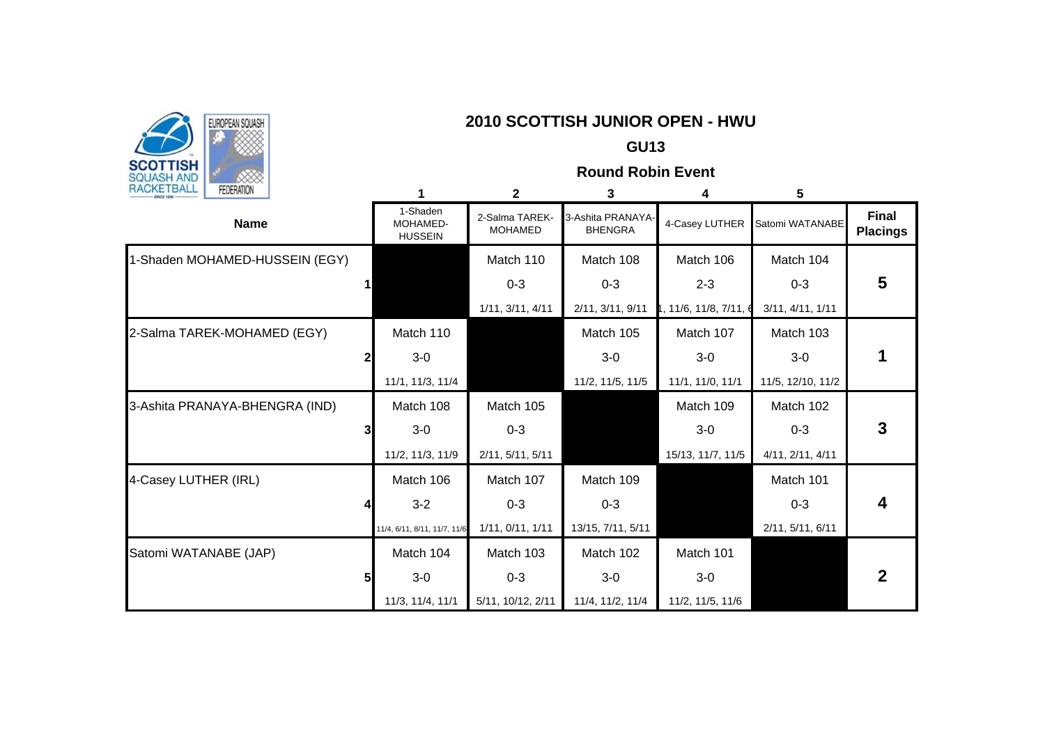

## **EUROPEAN SOLASH | EUROPEAN SOLASH | EUROPEAN SOLASH | EUROPEAN SOLASH | EUROPEAN SOLASH | EUROPEAN - HWU**

### **GU13**

**Round Robin Event**

| <b>INVILIDALE</b><br><b>FEDERATION</b> |                                        | $\mathbf{2}$                     | 3                                   | 4                      | 5                 |                                 |
|----------------------------------------|----------------------------------------|----------------------------------|-------------------------------------|------------------------|-------------------|---------------------------------|
| <b>Name</b>                            | 1-Shaden<br>MOHAMED-<br><b>HUSSEIN</b> | 2-Salma TAREK-<br><b>MOHAMED</b> | 3-Ashita PRANAYA-<br><b>BHENGRA</b> | 4-Casey LUTHER         | Satomi WATANABE   | <b>Final</b><br><b>Placings</b> |
| 1-Shaden MOHAMED-HUSSEIN (EGY)         |                                        | Match 110                        | Match 108                           | Match 106              | Match 104         |                                 |
|                                        |                                        | $0 - 3$                          | $0 - 3$                             | $2 - 3$                | $0 - 3$           | 5                               |
|                                        |                                        | 1/11, 3/11, 4/11                 | 2/11, 3/11, 9/11                    | l, 11/6, 11/8, 7/11, 6 | 3/11, 4/11, 1/11  |                                 |
| 2-Salma TAREK-MOHAMED (EGY)            | Match 110                              |                                  | Match 105                           | Match 107              | Match 103         |                                 |
|                                        | $3-0$                                  |                                  | $3-0$                               | $3-0$                  | $3-0$             |                                 |
|                                        | 11/1, 11/3, 11/4                       |                                  | 11/2, 11/5, 11/5                    | 11/1, 11/0, 11/1       | 11/5, 12/10, 11/2 |                                 |
| 3-Ashita PRANAYA-BHENGRA (IND)         | Match 108                              | Match 105                        |                                     | Match 109              | Match 102         |                                 |
|                                        | $3-0$                                  | $0 - 3$                          |                                     | $3-0$                  | $0 - 3$           | 3                               |
|                                        | 11/2, 11/3, 11/9                       | 2/11, 5/11, 5/11                 |                                     | 15/13, 11/7, 11/5      | 4/11, 2/11, 4/11  |                                 |
| 4-Casey LUTHER (IRL)                   | Match 106                              | Match 107                        | Match 109                           |                        | Match 101         |                                 |
|                                        | $3 - 2$                                | $0 - 3$                          | $0 - 3$                             |                        | $0 - 3$           | 4                               |
|                                        | 11/4, 6/11, 8/11, 11/7, 11/6           | 1/11, 0/11, 1/11                 | 13/15, 7/11, 5/11                   |                        | 2/11, 5/11, 6/11  |                                 |
| Satomi WATANABE (JAP)                  | Match 104                              | Match 103                        | Match 102                           | Match 101              |                   |                                 |
|                                        | $3-0$                                  | $0 - 3$                          | $3-0$                               | $3-0$                  |                   | $\mathbf 2$                     |
|                                        | 11/3, 11/4, 11/1                       | 5/11, 10/12, 2/11                | 11/4, 11/2, 11/4                    | 11/2, 11/5, 11/6       |                   |                                 |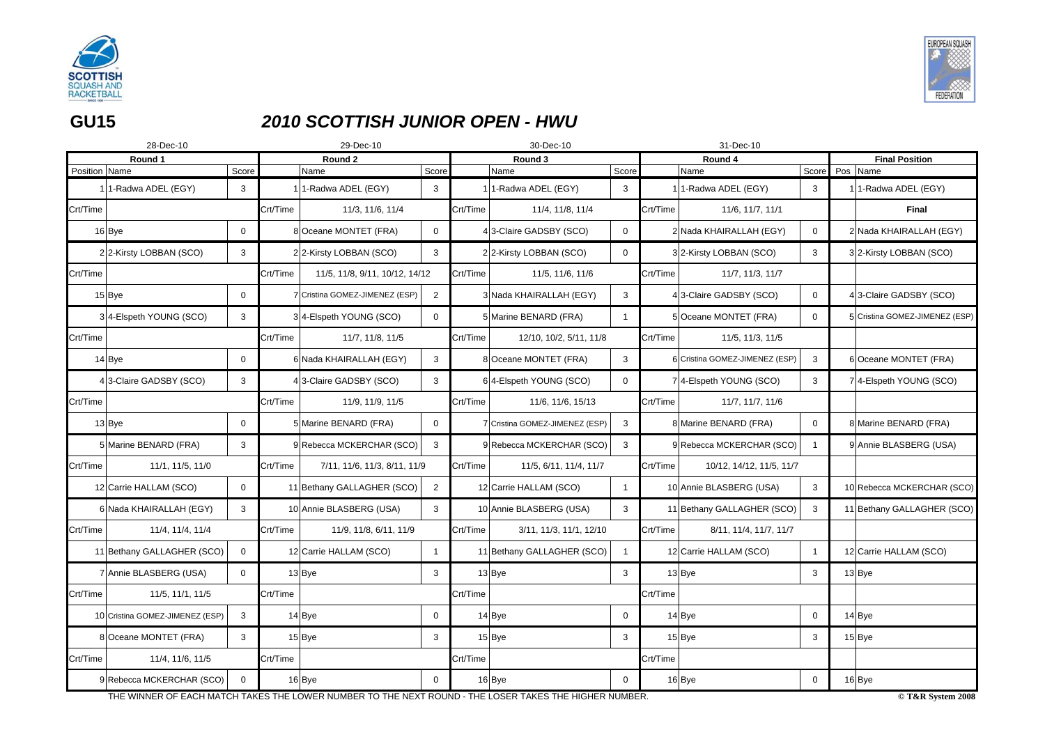

**GU15**

# *2010 SCOTTISH JUNIOR OPEN - HWU*

|               | 28-Dec-10                       |              |          | 29-Dec-10                      |                | 30-Dec-10 |                                |                | 31-Dec-10 |                                |                |  |                                  |
|---------------|---------------------------------|--------------|----------|--------------------------------|----------------|-----------|--------------------------------|----------------|-----------|--------------------------------|----------------|--|----------------------------------|
|               | Round 1                         |              |          | Round 2                        |                |           | Round 3                        |                |           | Round 4                        |                |  | <b>Final Position</b>            |
| Position Name |                                 | Score        |          | Name                           | Score          |           | Name                           | Score          |           | Name                           | Score          |  | Pos Name                         |
|               | 1-Radwa ADEL (EGY)              | 3            |          | 1-Radwa ADEL (EGY)             | 3              |           | 1-Radwa ADEL (EGY)             | 3              |           | 11-Radwa ADEL (EGY)            | 3              |  | 1 <sup>1</sup> -Radwa ADEL (EGY) |
| Crt/Time      |                                 |              | Crt/Time | 11/3, 11/6, 11/4               |                | Crt/Time  | 11/4, 11/8, 11/4               |                | Crt/Time  | 11/6, 11/7, 11/1               |                |  | <b>Final</b>                     |
|               | 16Bye                           | 0            |          | 8 Oceane MONTET (FRA)          | $\overline{0}$ |           | 43-Claire GADSBY (SCO)         | $\overline{0}$ |           | 2 Nada KHAIRALLAH (EGY)        | $\mathbf 0$    |  | 2 Nada KHAIRALLAH (EGY)          |
|               | 22-Kirsty LOBBAN (SCO)          | 3            |          | 22-Kirsty LOBBAN (SCO)         | 3              |           | 22-Kirsty LOBBAN (SCO)         | $\mathbf{0}$   |           | 32-Kirsty LOBBAN (SCO)         | 3              |  | 32-Kirsty LOBBAN (SCO)           |
| Crt/Time      |                                 |              | Crt/Time | 11/5, 11/8, 9/11, 10/12, 14/12 |                | Crt/Time  | 11/5, 11/6, 11/6               |                | Crt/Time  | 11/7, 11/3, 11/7               |                |  |                                  |
|               | $15$ Bye                        | $\mathbf 0$  |          | 7 Cristina GOMEZ-JIMENEZ (ESP) | 2              |           | 3 Nada KHAIRALLAH (EGY)        | 3              |           | 4 3-Claire GADSBY (SCO)        | $\mathbf 0$    |  | 43-Claire GADSBY (SCO)           |
|               | 34-Elspeth YOUNG (SCO)          | 3            |          | 34-Elspeth YOUNG (SCO)         | $\mathbf 0$    |           | 5 Marine BENARD (FRA)          |                |           | 5 Oceane MONTET (FRA)          | 0              |  | 5 Cristina GOMEZ-JIMENEZ (ESP)   |
| Crt/Time      |                                 |              | Crt/Time | 11/7, 11/8, 11/5               |                | Crt/Time  | 12/10, 10/2, 5/11, 11/8        |                | Crt/Time  | 11/5, 11/3, 11/5               |                |  |                                  |
|               | $14$ Bye                        | $\mathbf 0$  |          | 6 Nada KHAIRALLAH (EGY)        | 3              |           | 8 Oceane MONTET (FRA)          | $\mathbf{3}$   |           | 6 Cristina GOMEZ-JIMENEZ (ESP) | 3              |  | 6 Oceane MONTET (FRA)            |
|               | 4 3-Claire GADSBY (SCO)         | 3            |          | 4 3-Claire GADSBY (SCO)        | 3              |           | 64-Elspeth YOUNG (SCO)         | $\overline{0}$ |           | 7 4-Elspeth YOUNG (SCO)        | 3              |  | 7 4-Elspeth YOUNG (SCO)          |
| Crt/Time      |                                 |              | Crt/Time | 11/9, 11/9, 11/5               |                | Crt/Time  | 11/6, 11/6, 15/13              |                | Crt/Time  | 11/7, 11/7, 11/6               |                |  |                                  |
|               | 13 Bye                          | $\mathbf 0$  |          | 5 Marine BENARD (FRA)          | $\overline{0}$ |           | 7 Cristina GOMEZ-JIMENEZ (ESP) | $\mathbf{3}$   |           | 8 Marine BENARD (FRA)          | $\mathbf 0$    |  | 8 Marine BENARD (FRA)            |
|               | 5 Marine BENARD (FRA)           | 3            |          | 9 Rebecca MCKERCHAR (SCO)      | $\mathbf{3}$   |           | 9 Rebecca MCKERCHAR (SCO)      | $\mathbf{3}$   |           | 9 Rebecca MCKERCHAR (SCO)      |                |  | 9 Annie BLASBERG (USA)           |
| Crt/Time      | 11/1, 11/5, 11/0                |              | Crt/Time | 7/11, 11/6, 11/3, 8/11, 11/9   |                | Crt/Time  | 11/5, 6/11, 11/4, 11/7         |                | Crt/Time  | 10/12, 14/12, 11/5, 11/7       |                |  |                                  |
|               | 12 Carrie HALLAM (SCO)          | $\mathbf 0$  |          | 11 Bethany GALLAGHER (SCO)     | $\overline{2}$ |           | 12 Carrie HALLAM (SCO)         |                |           | 10 Annie BLASBERG (USA)        | 3              |  | 10 Rebecca MCKERCHAR (SCO)       |
|               | 6 Nada KHAIRALLAH (EGY)         | 3            |          | 10 Annie BLASBERG (USA)        | $\mathbf{3}$   |           | 10 Annie BLASBERG (USA)        | $\mathbf{3}$   |           | 11 Bethany GALLAGHER (SCO)     | 3              |  | 11 Bethany GALLAGHER (SCO)       |
| Crt/Time      | 11/4, 11/4, 11/4                |              | Crt/Time | 11/9, 11/8, 6/11, 11/9         |                | Crt/Time  | 3/11, 11/3, 11/1, 12/10        |                | Crt/Time  | 8/11, 11/4, 11/7, 11/7         |                |  |                                  |
|               | 11 Bethany GALLAGHER (SCO)      | $\mathbf 0$  |          | 12 Carrie HALLAM (SCO)         | $\overline{1}$ |           | 11 Bethany GALLAGHER (SCO)     |                |           | 12 Carrie HALLAM (SCO)         | $\overline{1}$ |  | 12 Carrie HALLAM (SCO)           |
|               | 7 Annie BLASBERG (USA)          | $\mathbf 0$  |          | $13$ Bye                       | $\mathbf{3}$   |           | 13 Bye                         | $\mathbf{3}$   |           | $13$ Bye                       | 3              |  | $13$ Bye                         |
| Crt/Time      | 11/5, 11/1, 11/5                |              | Crt/Time |                                |                | Crt/Time  |                                |                | Crt/Time  |                                |                |  |                                  |
|               | 10 Cristina GOMEZ-JIMENEZ (ESP) | $\mathbf{3}$ |          | $14$ Bye                       | $\mathbf 0$    |           | 14 Bye                         | $\overline{0}$ |           | 14 Bye                         | $\mathbf 0$    |  | $14$ Bye                         |
|               | 8 Oceane MONTET (FRA)           | $\mathbf{3}$ |          | $15$ Bye                       | 3              |           | $15$ Bye                       | $\mathbf{3}$   |           | $15$ Bye                       | 3              |  | $15$ Bye                         |
| Crt/Time      | 11/4, 11/6, 11/5                |              | Crt/Time |                                |                | Crt/Time  |                                |                | Crt/Time  |                                |                |  |                                  |
|               | 9 Rebecca MCKERCHAR (SCO)       | $\mathbf 0$  |          | 16 Bye                         | $\mathbf 0$    |           | 16 Bye                         | $\mathbf 0$    |           | 16 Bye                         | 0              |  | 16Bye                            |

THE WINNER OF EACH MATCH TAKES THE LOWER NUMBER TO THE NEXT ROUND - THE LOSER TAKES THE HIGHER NUMBER.

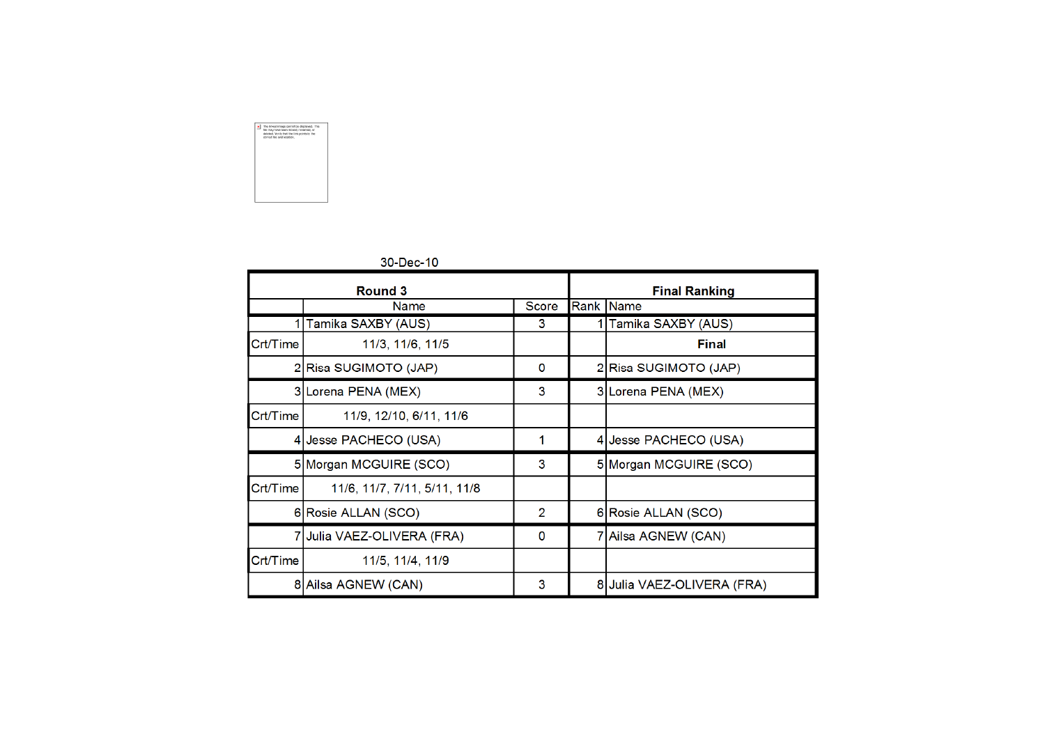

|          | <b>Round 3</b>               |                | <b>Final Ranking</b>       |
|----------|------------------------------|----------------|----------------------------|
|          | <b>Name</b>                  | <b>Score</b>   | Rank  Name                 |
|          | 1 Tamika SAXBY (AUS)         | 3              | 1 Tamika SAXBY (AUS)       |
| Crt/Time | 11/3, 11/6, 11/5             |                | <b>Final</b>               |
|          | 2 Risa SUGIMOTO (JAP)        | $\mathbf 0$    | 2 Risa SUGIMOTO (JAP)      |
|          | 3 Lorena PENA (MEX)          | 3              | 3 Lorena PENA (MEX)        |
| Crt/Time | 11/9, 12/10, 6/11, 11/6      |                |                            |
|          | 4 Jesse PACHECO (USA)        |                | 4 Jesse PACHECO (USA)      |
|          | 5 Morgan MCGUIRE (SCO)       | 3              | 5 Morgan MCGUIRE (SCO)     |
| Crt/Time | 11/6, 11/7, 7/11, 5/11, 11/8 |                |                            |
|          | 6 Rosie ALLAN (SCO)          | $\overline{2}$ | 6 Rosie ALLAN (SCO)        |
|          | 7 Julia VAEZ-OLIVERA (FRA)   | $\Omega$       | 7 Ailsa AGNEW (CAN)        |
| Crt/Time | 11/5, 11/4, 11/9             |                |                            |
|          | 8 Ailsa AGNEW (CAN)          | 3              | 8 Julia VAEZ-OLIVERA (FRA) |

## 30-Dec-10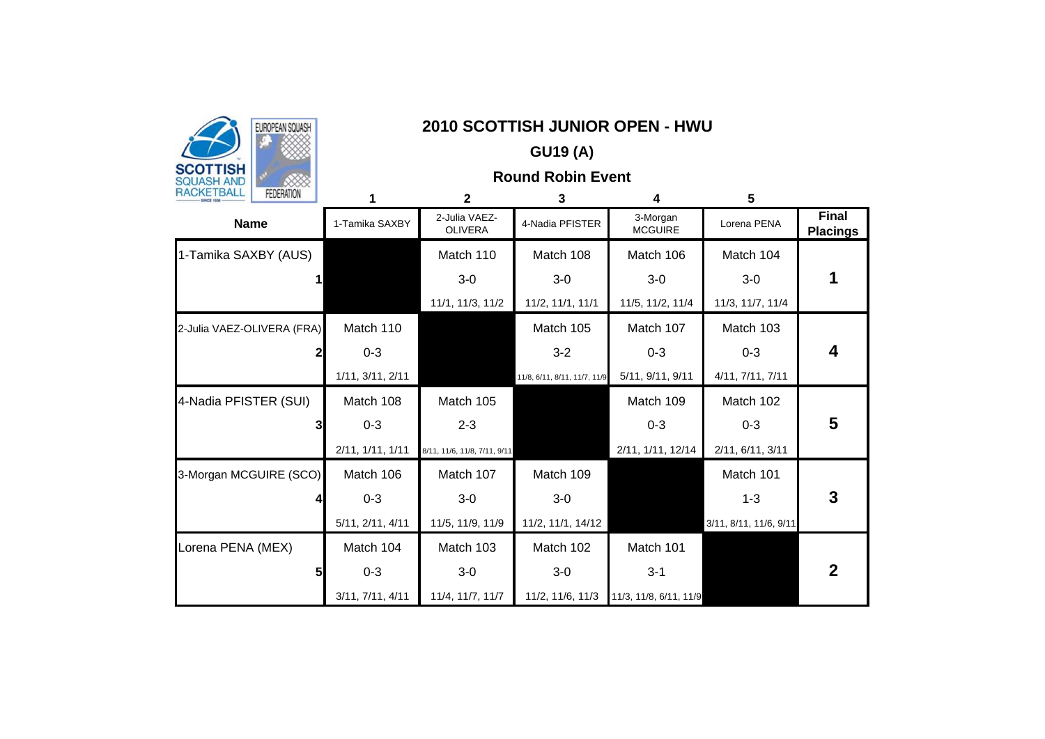

## EUROPEAN SQUASH **NANDREAD SCOTTISH JUNIOR OPEN - HWU**

# **GU19 (A)**

## **Round Robin Event**

| 1717121121<br><b>LEDERATION</b> |                  | $\mathbf{2}$                    | 3                            | 4                          | 5                      |                                 |
|---------------------------------|------------------|---------------------------------|------------------------------|----------------------------|------------------------|---------------------------------|
| <b>Name</b>                     | 1-Tamika SAXBY   | 2-Julia VAEZ-<br><b>OLIVERA</b> | 4-Nadia PFISTER              | 3-Morgan<br><b>MCGUIRE</b> | Lorena PENA            | <b>Final</b><br><b>Placings</b> |
| 1-Tamika SAXBY (AUS)            |                  | Match 110                       | Match 108                    | Match 106                  | Match 104              |                                 |
|                                 |                  | $3-0$                           | $3-0$                        | $3-0$                      | $3-0$                  |                                 |
|                                 |                  | 11/1, 11/3, 11/2                | 11/2, 11/1, 11/1             | 11/5, 11/2, 11/4           | 11/3, 11/7, 11/4       |                                 |
| 2-Julia VAEZ-OLIVERA (FRA)      | Match 110        |                                 | Match 105                    | Match 107                  | Match 103              |                                 |
|                                 | $0 - 3$          |                                 | $3-2$                        | $0 - 3$                    | $0 - 3$                | 4                               |
|                                 | 1/11, 3/11, 2/11 |                                 | 11/8, 6/11, 8/11, 11/7, 11/9 | 5/11, 9/11, 9/11           | 4/11, 7/11, 7/11       |                                 |
| 4-Nadia PFISTER (SUI)           | Match 108        | Match 105                       |                              | Match 109                  | Match 102              |                                 |
|                                 | $0 - 3$          | $2 - 3$                         |                              | $0 - 3$                    | $0 - 3$                | 5                               |
|                                 | 2/11, 1/11, 1/11 | 8/11, 11/6, 11/8, 7/11, 9/11    |                              | 2/11, 1/11, 12/14          | 2/11, 6/11, 3/11       |                                 |
| 3-Morgan MCGUIRE (SCO)          | Match 106        | Match 107                       | Match 109                    |                            | Match 101              |                                 |
|                                 | $0 - 3$          | $3-0$                           | $3-0$                        |                            | $1 - 3$                | 3                               |
|                                 | 5/11, 2/11, 4/11 | 11/5, 11/9, 11/9                | 11/2, 11/1, 14/12            |                            | 3/11, 8/11, 11/6, 9/11 |                                 |
| Lorena PENA (MEX)               | Match 104        | Match 103                       | Match 102                    | Match 101                  |                        |                                 |
| 5                               | $0 - 3$          | $3-0$                           | $3-0$                        | $3 - 1$                    |                        | $\mathbf 2$                     |
|                                 | 3/11, 7/11, 4/11 | 11/4, 11/7, 11/7                | 11/2, 11/6, 11/3             | 11/3, 11/8, 6/11, 11/9     |                        |                                 |